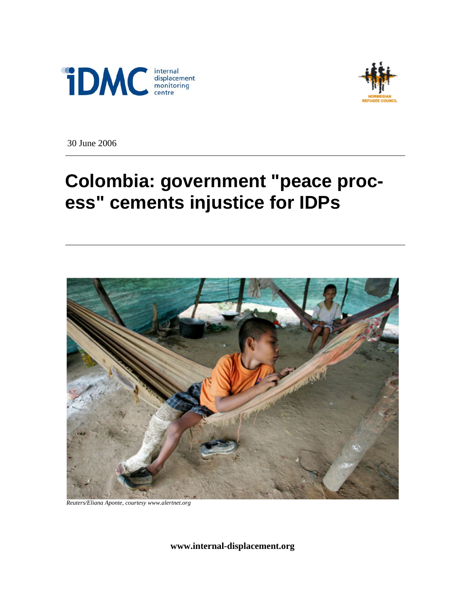



30 June 2006

# **Colombia: government "peace process" cements injustice for IDPs**



*Reuters/Eliana Aponte, courtesy www.alertnet.org* 

**www.internal-displacement.org**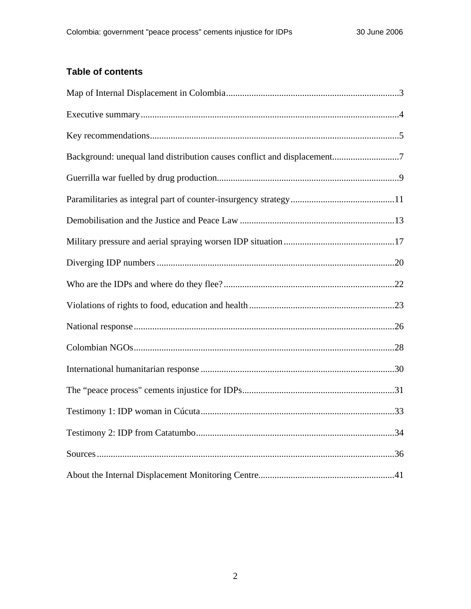## **Table of contents**

| Background: unequal land distribution causes conflict and displacement7 |
|-------------------------------------------------------------------------|
|                                                                         |
|                                                                         |
|                                                                         |
|                                                                         |
|                                                                         |
|                                                                         |
|                                                                         |
|                                                                         |
|                                                                         |
|                                                                         |
|                                                                         |
|                                                                         |
|                                                                         |
|                                                                         |
|                                                                         |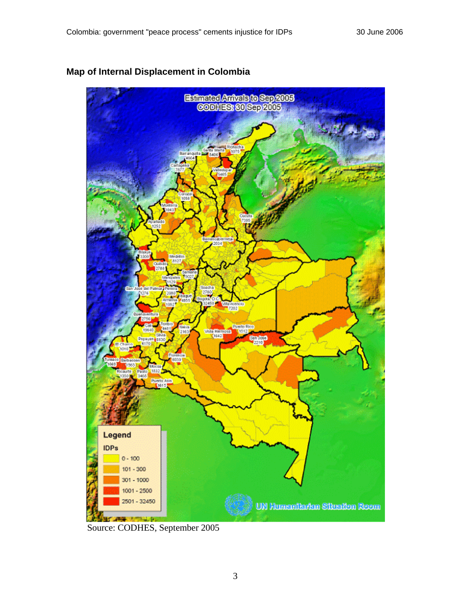

## <span id="page-2-0"></span>**Map of Internal Displacement in Colombia**

Source: CODHES, September 2005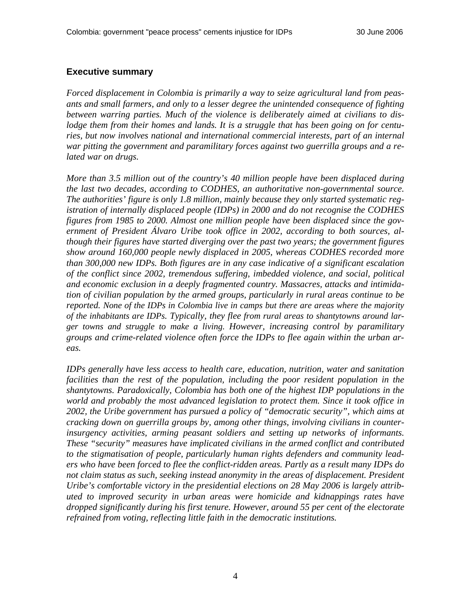#### <span id="page-3-0"></span>**Executive summary**

*Forced displacement in Colombia is primarily a way to seize agricultural land from peasants and small farmers, and only to a lesser degree the unintended consequence of fighting between warring parties. Much of the violence is deliberately aimed at civilians to dislodge them from their homes and lands. It is a struggle that has been going on for centuries, but now involves national and international commercial interests, part of an internal war pitting the government and paramilitary forces against two guerrilla groups and a related war on drugs.* 

*More than 3.5 million out of the country's 40 million people have been displaced during the last two decades, according to CODHES, an authoritative non-governmental source. The authorities' figure is only 1.8 million, mainly because they only started systematic registration of internally displaced people (IDPs) in 2000 and do not recognise the CODHES figures from 1985 to 2000. Almost one million people have been displaced since the government of President Álvaro Uribe took office in 2002, according to both sources, although their figures have started diverging over the past two years; the government figures show around 160,000 people newly displaced in 2005, whereas CODHES recorded more than 300,000 new IDPs. Both figures are in any case indicative of a significant escalation of the conflict since 2002, tremendous suffering, imbedded violence, and social, political and economic exclusion in a deeply fragmented country. Massacres, attacks and intimidation of civilian population by the armed groups, particularly in rural areas continue to be reported. None of the IDPs in Colombia live in camps but there are areas where the majority of the inhabitants are IDPs. Typically, they flee from rural areas to shantytowns around larger towns and struggle to make a living. However, increasing control by paramilitary groups and crime-related violence often force the IDPs to flee again within the urban areas.* 

*IDPs generally have less access to health care, education, nutrition, water and sanitation*  facilities than the rest of the population, including the poor resident population in the *shantytowns. Paradoxically, Colombia has both one of the highest IDP populations in the world and probably the most advanced legislation to protect them. Since it took office in 2002, the Uribe government has pursued a policy of "democratic security", which aims at cracking down on guerrilla groups by, among other things, involving civilians in counterinsurgency activities, arming peasant soldiers and setting up networks of informants. These "security" measures have implicated civilians in the armed conflict and contributed to the stigmatisation of people, particularly human rights defenders and community leaders who have been forced to flee the conflict-ridden areas. Partly as a result many IDPs do*  not claim status as such, seeking instead anonymity in the areas of displacement. President *Uribe's comfortable victory in the presidential elections on 28 May 2006 is largely attributed to improved security in urban areas were homicide and kidnappings rates have dropped significantly during his first tenure. However, around 55 per cent of the electorate refrained from voting, reflecting little faith in the democratic institutions.*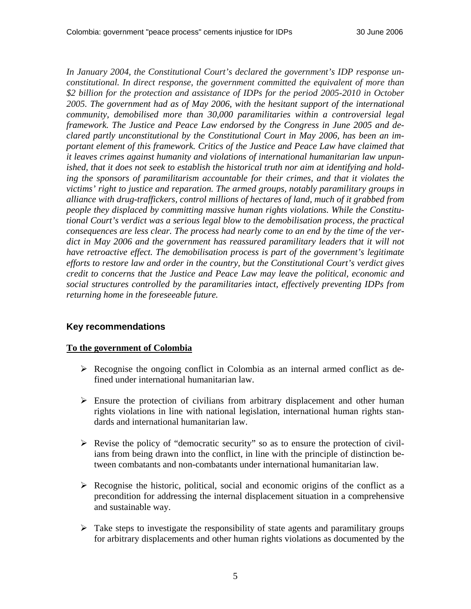*In January 2004, the Constitutional Court's declared the government's IDP response unconstitutional. In direct response, the government committed the equivalent of more than \$2 billion for the protection and assistance of IDPs for the period 2005-2010 in October 2005. The government had as of May 2006, with the hesitant support of the international community, demobilised more than 30,000 paramilitaries within a controversial legal framework. The Justice and Peace Law endorsed by the Congress in June 2005 and declared partly unconstitutional by the Constitutional Court in May 2006, has been an important element of this framework. Critics of the Justice and Peace Law have claimed that it leaves crimes against humanity and violations of international humanitarian law unpunished, that it does not seek to establish the historical truth nor aim at identifying and holding the sponsors of paramilitarism accountable for their crimes, and that it violates the victims' right to justice and reparation. The armed groups, notably paramilitary groups in alliance with drug-traffickers, control millions of hectares of land, much of it grabbed from people they displaced by committing massive human rights violations. While the Constitutional Court's verdict was a serious legal blow to the demobilisation process, the practical consequences are less clear. The process had nearly come to an end by the time of the verdict in May 2006 and the government has reassured paramilitary leaders that it will not have retroactive effect. The demobilisation process is part of the government's legitimate efforts to restore law and order in the country, but the Constitutional Court's verdict gives credit to concerns that the Justice and Peace Law may leave the political, economic and social structures controlled by the paramilitaries intact, effectively preventing IDPs from returning home in the foreseeable future.* 

### **Key recommendations**

#### **To the government of Colombia**

- $\triangleright$  Recognise the ongoing conflict in Colombia as an internal armed conflict as defined under international humanitarian law.
- $\triangleright$  Ensure the protection of civilians from arbitrary displacement and other human rights violations in line with national legislation, international human rights standards and international humanitarian law.
- $\triangleright$  Revise the policy of "democratic security" so as to ensure the protection of civilians from being drawn into the conflict, in line with the principle of distinction between combatants and non-combatants under international humanitarian law.
- $\triangleright$  Recognise the historic, political, social and economic origins of the conflict as a precondition for addressing the internal displacement situation in a comprehensive and sustainable way.
- $\triangleright$  Take steps to investigate the responsibility of state agents and paramilitary groups for arbitrary displacements and other human rights violations as documented by the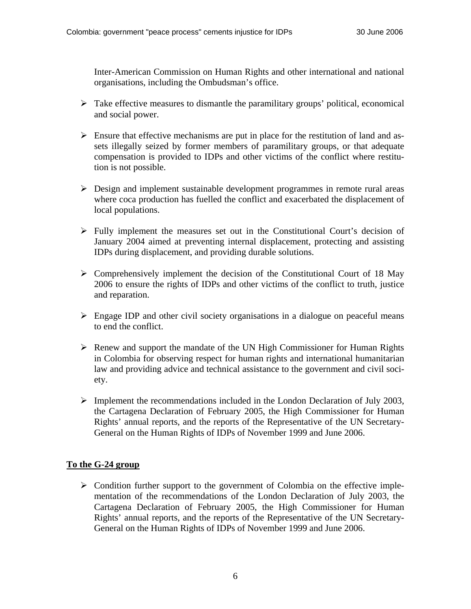Inter-American Commission on Human Rights and other international and national organisations, including the Ombudsman's office.

- $\triangleright$  Take effective measures to dismantle the paramilitary groups' political, economical and social power.
- $\triangleright$  Ensure that effective mechanisms are put in place for the restitution of land and assets illegally seized by former members of paramilitary groups, or that adequate compensation is provided to IDPs and other victims of the conflict where restitution is not possible.
- $\triangleright$  Design and implement sustainable development programmes in remote rural areas where coca production has fuelled the conflict and exacerbated the displacement of local populations.
- $\triangleright$  Fully implement the measures set out in the Constitutional Court's decision of January 2004 aimed at preventing internal displacement, protecting and assisting IDPs during displacement, and providing durable solutions.
- $\triangleright$  Comprehensively implement the decision of the Constitutional Court of 18 May 2006 to ensure the rights of IDPs and other victims of the conflict to truth, justice and reparation.
- $\triangleright$  Engage IDP and other civil society organisations in a dialogue on peaceful means to end the conflict.
- $\triangleright$  Renew and support the mandate of the UN High Commissioner for Human Rights in Colombia for observing respect for human rights and international humanitarian law and providing advice and technical assistance to the government and civil society.
- $\triangleright$  Implement the recommendations included in the London Declaration of July 2003, the Cartagena Declaration of February 2005, the High Commissioner for Human Rights' annual reports, and the reports of the Representative of the UN Secretary-General on the Human Rights of IDPs of November 1999 and June 2006.

## **To the G-24 group**

 $\triangleright$  Condition further support to the government of Colombia on the effective implementation of the recommendations of the London Declaration of July 2003, the Cartagena Declaration of February 2005, the High Commissioner for Human Rights' annual reports, and the reports of the Representative of the UN Secretary-General on the Human Rights of IDPs of November 1999 and June 2006.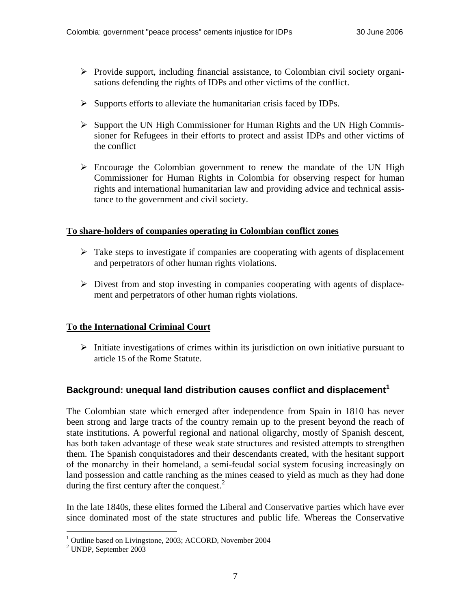- <span id="page-6-0"></span> $\triangleright$  Provide support, including financial assistance, to Colombian civil society organisations defending the rights of IDPs and other victims of the conflict.
- $\triangleright$  Supports efforts to alleviate the humanitarian crisis faced by IDPs.
- $\triangleright$  Support the UN High Commissioner for Human Rights and the UN High Commissioner for Refugees in their efforts to protect and assist IDPs and other victims of the conflict
- $\triangleright$  Encourage the Colombian government to renew the mandate of the UN High Commissioner for Human Rights in Colombia for observing respect for human rights and international humanitarian law and providing advice and technical assistance to the government and civil society.

### **To share-holders of companies operating in Colombian conflict zones**

- $\triangleright$  Take steps to investigate if companies are cooperating with agents of displacement and perpetrators of other human rights violations.
- $\triangleright$  Divest from and stop investing in companies cooperating with agents of displacement and perpetrators of other human rights violations.

### **To the International Criminal Court**

 $\triangleright$  Initiate investigations of crimes within its jurisdiction on own initiative pursuant to article 15 of the Rome Statute.

## **Background: unequal land distribution causes conflict and displacement[1](#page-6-1)**

The Colombian state which emerged after independence from Spain in 1810 has never been strong and large tracts of the country remain up to the present beyond the reach of state institutions. A powerful regional and national oligarchy, mostly of Spanish descent, has both taken advantage of these weak state structures and resisted attempts to strengthen them. The Spanish conquistadores and their descendants created, with the hesitant support of the monarchy in their homeland, a semi-feudal social system focusing increasingly on land possession and cattle ranching as the mines ceased to yield as much as they had done during the first century after the conquest. $2$ 

In the late 1840s, these elites formed the Liberal and Conservative parties which have ever since dominated most of the state structures and public life. Whereas the Conservative

<sup>&</sup>lt;sup>1</sup> Outline based on Livingstone, 2003; ACCORD, November 2004

<span id="page-6-2"></span><span id="page-6-1"></span><sup>2</sup> UNDP, September 2003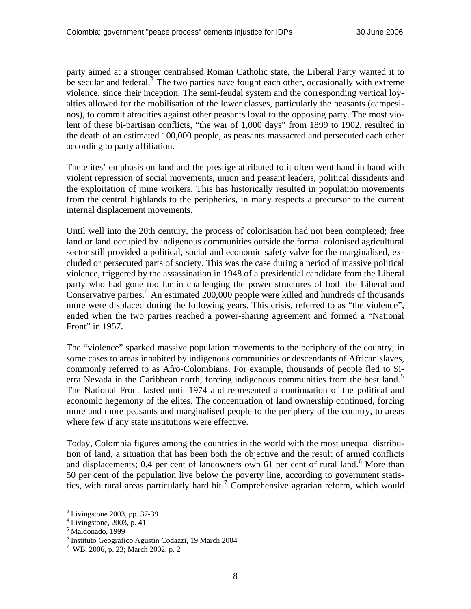party aimed at a stronger centralised Roman Catholic state, the Liberal Party wanted it to be secular and federal.<sup>[3](#page-7-0)</sup> The two parties have fought each other, occasionally with extreme violence, since their inception. The semi-feudal system and the corresponding vertical loyalties allowed for the mobilisation of the lower classes, particularly the peasants (campesinos), to commit atrocities against other peasants loyal to the opposing party. The most violent of these bi-partisan conflicts, "the war of 1,000 days" from 1899 to 1902, resulted in the death of an estimated 100,000 people, as peasants massacred and persecuted each other according to party affiliation.

The elites' emphasis on land and the prestige attributed to it often went hand in hand with violent repression of social movements, union and peasant leaders, political dissidents and the exploitation of mine workers. This has historically resulted in population movements from the central highlands to the peripheries, in many respects a precursor to the current internal displacement movements.

Until well into the 20th century, the process of colonisation had not been completed; free land or land occupied by indigenous communities outside the formal colonised agricultural sector still provided a political, social and economic safety valve for the marginalised, excluded or persecuted parts of society. This was the case during a period of massive political violence, triggered by the assassination in 1948 of a presidential candidate from the Liberal party who had gone too far in challenging the power structures of both the Liberal and Conservative parties. $4$  An estimated 200,000 people were killed and hundreds of thousands more were displaced during the following years. This crisis, referred to as "the violence", ended when the two parties reached a power-sharing agreement and formed a "National Front" in 1957.

The "violence" sparked massive population movements to the periphery of the country, in some cases to areas inhabited by indigenous communities or descendants of African slaves, commonly referred to as Afro-Colombians. For example, thousands of people fled to Si-erra Nevada in the Caribbean north, forcing indigenous communities from the best land.<sup>[5](#page-7-2)</sup> The National Front lasted until 1974 and represented a continuation of the political and economic hegemony of the elites. The concentration of land ownership continued, forcing more and more peasants and marginalised people to the periphery of the country, to areas where few if any state institutions were effective.

Today, Colombia figures among the countries in the world with the most unequal distribution of land, a situation that has been both the objective and the result of armed conflicts and displacements;  $0.4$  per cent of landowners own [6](#page-7-3)1 per cent of rural land.<sup>6</sup> More than 50 per cent of the population live below the poverty line, according to government statis-tics, with rural areas particularly hard hit.<sup>[7](#page-7-4)</sup> Comprehensive agrarian reform, which would

<span id="page-7-0"></span><sup>3</sup> Livingstone 2003, pp. 37-39

<span id="page-7-1"></span> $4$  Livingstone, 2003, p. 41

<sup>5</sup> Maldonado, 1999

<span id="page-7-3"></span><span id="page-7-2"></span> $^6$  Instituto Geográfico Agustín Codazzi, 19 March 2004<br>  $^7$  WP 2006 n 23: March 2002 n 2

<span id="page-7-4"></span>WB, 2006, p. 23; March 2002, p. 2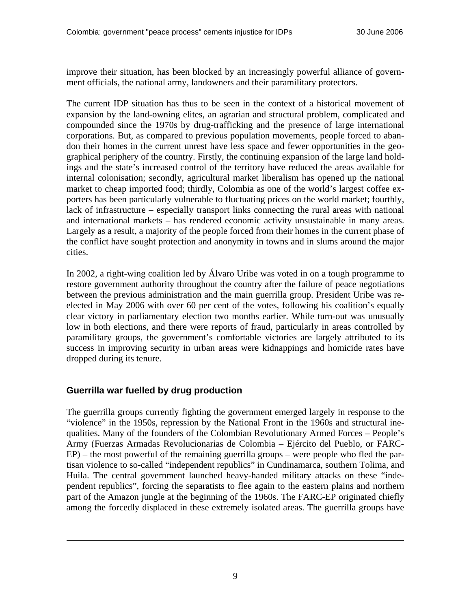<span id="page-8-0"></span>improve their situation, has been blocked by an increasingly powerful alliance of government officials, the national army, landowners and their paramilitary protectors.

The current IDP situation has thus to be seen in the context of a historical movement of expansion by the land-owning elites, an agrarian and structural problem, complicated and compounded since the 1970s by drug-trafficking and the presence of large international corporations. But, as compared to previous population movements, people forced to abandon their homes in the current unrest have less space and fewer opportunities in the geographical periphery of the country. Firstly, the continuing expansion of the large land holdings and the state's increased control of the territory have reduced the areas available for internal colonisation; secondly, agricultural market liberalism has opened up the national market to cheap imported food; thirdly, Colombia as one of the world's largest coffee exporters has been particularly vulnerable to fluctuating prices on the world market; fourthly, lack of infrastructure – especially transport links connecting the rural areas with national and international markets – has rendered economic activity unsustainable in many areas. Largely as a result, a majority of the people forced from their homes in the current phase of the conflict have sought protection and anonymity in towns and in slums around the major cities.

In 2002, a right-wing coalition led by Álvaro Uribe was voted in on a tough programme to restore government authority throughout the country after the failure of peace negotiations between the previous administration and the main guerrilla group. President Uribe was reelected in May 2006 with over 60 per cent of the votes, following his coalition's equally clear victory in parliamentary election two months earlier. While turn-out was unusually low in both elections, and there were reports of fraud, particularly in areas controlled by paramilitary groups, the government's comfortable victories are largely attributed to its success in improving security in urban areas were kidnappings and homicide rates have dropped during its tenure.

## **Guerrilla war fuelled by drug production**

 $\overline{a}$ 

The guerrilla groups currently fighting the government emerged largely in response to the "violence" in the 1950s, repression by the National Front in the 1960s and structural inequalities. Many of the founders of the Colombian Revolutionary Armed Forces – People's Army (Fuerzas Armadas Revolucionarias de Colombia – Ejército del Pueblo, or FARC-EP) – the most powerful of the remaining guerrilla groups – were people who fled the partisan violence to so-called "independent republics" in Cundinamarca, southern Tolima, and Huila. The central government launched heavy-handed military attacks on these "independent republics", forcing the separatists to flee again to the eastern plains and northern part of the Amazon jungle at the beginning of the 1960s. The FARC-EP originated chiefly among the forcedly displaced in these extremely isolated areas. The guerrilla groups have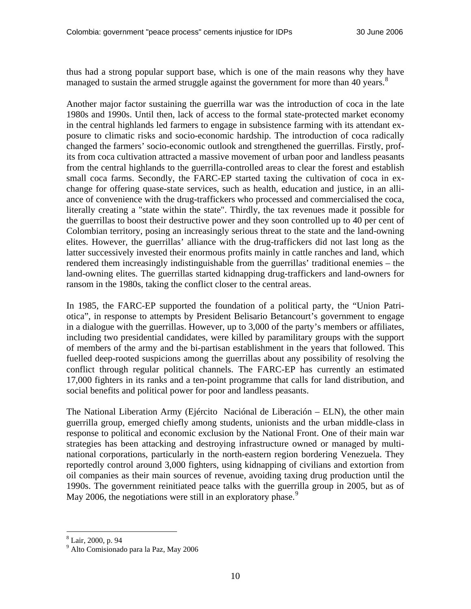thus had a strong popular support base, which is one of the main reasons why they have managed to sustain the armed struggle against the government for more than 40 years.<sup>[8](#page-9-0)</sup>

Another major factor sustaining the guerrilla war was the introduction of coca in the late 1980s and 1990s. Until then, lack of access to the formal state-protected market economy in the central highlands led farmers to engage in subsistence farming with its attendant exposure to climatic risks and socio-economic hardship. The introduction of coca radically changed the farmers' socio-economic outlook and strengthened the guerrillas. Firstly, profits from coca cultivation attracted a massive movement of urban poor and landless peasants from the central highlands to the guerrilla-controlled areas to clear the forest and establish small coca farms. Secondly, the FARC-EP started taxing the cultivation of coca in exchange for offering quase-state services, such as health, education and justice, in an alliance of convenience with the drug-traffickers who processed and commercialised the coca, literally creating a "state within the state". Thirdly, the tax revenues made it possible for the guerrillas to boost their destructive power and they soon controlled up to 40 per cent of Colombian territory, posing an increasingly serious threat to the state and the land-owning elites. However, the guerrillas' alliance with the drug-traffickers did not last long as the latter successively invested their enormous profits mainly in cattle ranches and land, which rendered them increasingly indistinguishable from the guerrillas' traditional enemies – the land-owning elites. The guerrillas started kidnapping drug-traffickers and land-owners for ransom in the 1980s, taking the conflict closer to the central areas.

In 1985, the FARC-EP supported the foundation of a political party, the "Union Patriotica", in response to attempts by President Belisario Betancourt's government to engage in a dialogue with the guerrillas. However, up to 3,000 of the party's members or affiliates, including two presidential candidates, were killed by paramilitary groups with the support of members of the army and the bi-partisan establishment in the years that followed. This fuelled deep-rooted suspicions among the guerrillas about any possibility of resolving the conflict through regular political channels. The FARC-EP has currently an estimated 17,000 fighters in its ranks and a ten-point programme that calls for land distribution, and social benefits and political power for poor and landless peasants.

The National Liberation Army (Ejército Naciónal de Liberación – ELN), the other main guerrilla group, emerged chiefly among students, unionists and the urban middle-class in response to political and economic exclusion by the National Front. One of their main war strategies has been attacking and destroying infrastructure owned or managed by multinational corporations, particularly in the north-eastern region bordering Venezuela. They reportedly control around 3,000 fighters, using kidnapping of civilians and extortion from oil companies as their main sources of revenue, avoiding taxing drug production until the 1990s. The government reinitiated peace talks with the guerrilla group in 2005, but as of May 2006, the negotiations were still in an exploratory phase.<sup>[9](#page-9-1)</sup>

<span id="page-9-0"></span><sup>8</sup> Lair, 2000, p. 94

<span id="page-9-1"></span><sup>9</sup> Alto Comisionado para la Paz, May 2006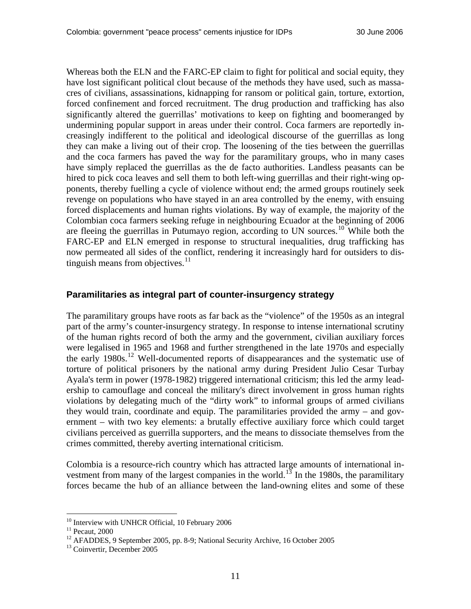<span id="page-10-0"></span>Whereas both the ELN and the FARC-EP claim to fight for political and social equity, they have lost significant political clout because of the methods they have used, such as massacres of civilians, assassinations, kidnapping for ransom or political gain, torture, extortion, forced confinement and forced recruitment. The drug production and trafficking has also significantly altered the guerrillas' motivations to keep on fighting and boomeranged by undermining popular support in areas under their control. Coca farmers are reportedly increasingly indifferent to the political and ideological discourse of the guerrillas as long they can make a living out of their crop. The loosening of the ties between the guerrillas and the coca farmers has paved the way for the paramilitary groups, who in many cases have simply replaced the guerrillas as the de facto authorities. Landless peasants can be hired to pick coca leaves and sell them to both left-wing guerrillas and their right-wing opponents, thereby fuelling a cycle of violence without end; the armed groups routinely seek revenge on populations who have stayed in an area controlled by the enemy, with ensuing forced displacements and human rights violations. By way of example, the majority of the Colombian coca farmers seeking refuge in neighbouring Ecuador at the beginning of 2006 are fleeing the guerrillas in Putumayo region, according to UN sources.[10](#page-10-1) While both the FARC-EP and ELN emerged in response to structural inequalities, drug trafficking has now permeated all sides of the conflict, rendering it increasingly hard for outsiders to distinguish means from objectives. $11$ 

#### **Paramilitaries as integral part of counter-insurgency strategy**

The paramilitary groups have roots as far back as the "violence" of the 1950s as an integral part of the army's counter-insurgency strategy. In response to intense international scrutiny of the human rights record of both the army and the government, civilian auxiliary forces were legalised in 1965 and 1968 and further strengthened in the late 1970s and especially the early 1980s.<sup>[12](#page-10-3)</sup> Well-documented reports of disappearances and the systematic use of torture of political prisoners by the national army during President Julio Cesar Turbay Ayala's term in power (1978-1982) triggered international criticism; this led the army leadership to camouflage and conceal the military's direct involvement in gross human rights violations by delegating much of the "dirty work" to informal groups of armed civilians they would train, coordinate and equip. The paramilitaries provided the army – and government – with two key elements: a brutally effective auxiliary force which could target civilians perceived as guerrilla supporters, and the means to dissociate themselves from the crimes committed, thereby averting international criticism.

Colombia is a resource-rich country which has attracted large amounts of international in-vestment from many of the largest companies in the world.<sup>[13](#page-10-4)</sup> In the 1980s, the paramilitary forces became the hub of an alliance between the land-owning elites and some of these

<span id="page-10-1"></span> $^{10}$  Interview with UNHCR Official, 10 February 2006  $^{11}$  Pecaut, 2000

<span id="page-10-3"></span><span id="page-10-2"></span><sup>&</sup>lt;sup>12</sup> AFADDES, 9 September 2005, pp. 8-9; National Security Archive, 16 October 2005

<span id="page-10-4"></span><sup>&</sup>lt;sup>13</sup> Coinvertir, December 2005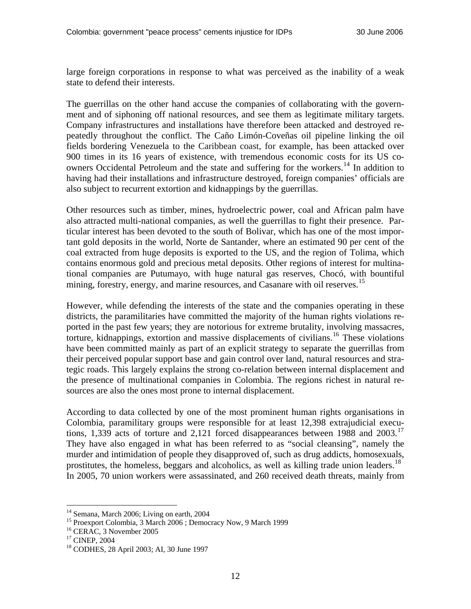large foreign corporations in response to what was perceived as the inability of a weak state to defend their interests.

The guerrillas on the other hand accuse the companies of collaborating with the government and of siphoning off national resources, and see them as legitimate military targets. Company infrastructures and installations have therefore been attacked and destroyed repeatedly throughout the conflict. The Caño Limón-Coveñas oil pipeline linking the oil fields bordering Venezuela to the Caribbean coast, for example, has been attacked over 900 times in its 16 years of existence, with tremendous economic costs for its US co-owners Occidental Petroleum and the state and suffering for the workers.<sup>[14](#page-11-0)</sup> In addition to having had their installations and infrastructure destroyed, foreign companies' officials are also subject to recurrent extortion and kidnappings by the guerrillas.

Other resources such as timber, mines, hydroelectric power, coal and African palm have also attracted multi-national companies, as well the guerrillas to fight their presence. Particular interest has been devoted to the south of Bolivar, which has one of the most important gold deposits in the world, Norte de Santander, where an estimated 90 per cent of the coal extracted from huge deposits is exported to the US, and the region of Tolima, which contains enormous gold and precious metal deposits. Other regions of interest for multinational companies are Putumayo, with huge natural gas reserves, Chocó, with bountiful mining, forestry, energy, and marine resources, and Casanare with oil reserves.<sup>[15](#page-11-1)</sup>

However, while defending the interests of the state and the companies operating in these districts, the paramilitaries have committed the majority of the human rights violations reported in the past few years; they are notorious for extreme brutality, involving massacres, torture, kidnappings, extortion and massive displacements of civilians.<sup>[16](#page-11-2)</sup> These violations have been committed mainly as part of an explicit strategy to separate the guerrillas from their perceived popular support base and gain control over land, natural resources and strategic roads. This largely explains the strong co-relation between internal displacement and the presence of multinational companies in Colombia. The regions richest in natural resources are also the ones most prone to internal displacement.

According to data collected by one of the most prominent human rights organisations in Colombia, paramilitary groups were responsible for at least 12,398 extrajudicial executions, 1,339 acts of torture and 2,121 forced disappearances between 1988 and  $2003$ .<sup>[17](#page-11-3)</sup> They have also engaged in what has been referred to as "social cleansing", namely the murder and intimidation of people they disapproved of, such as drug addicts, homosexuals, prostitutes, the homeless, beggars and alcoholics, as well as killing trade union leaders.<sup>[18](#page-11-4)</sup> In 2005, 70 union workers were assassinated, and 260 received death threats, mainly from

<sup>&</sup>lt;sup>14</sup> Semana, March 2006; Living on earth, 2004

<span id="page-11-1"></span><span id="page-11-0"></span><sup>&</sup>lt;sup>15</sup> Proexport Colombia, 3 March 2006 ; Democracy Now, 9 March 1999

<span id="page-11-2"></span><sup>16</sup> CERAC, 3 November 2005

<span id="page-11-3"></span><sup>&</sup>lt;sup>17</sup> CINEP, 2004

<span id="page-11-4"></span><sup>18</sup> CODHES, 28 April 2003; AI, 30 June 1997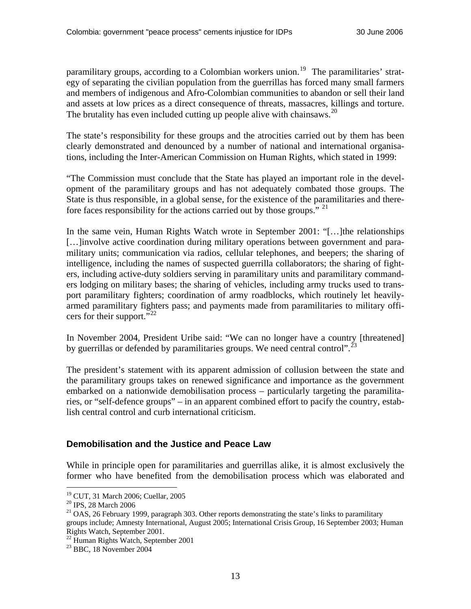<span id="page-12-0"></span>paramilitary groups, according to a Colombian workers union.<sup>[19](#page-12-1)</sup> The paramilitaries' strategy of separating the civilian population from the guerrillas has forced many small farmers and members of indigenous and Afro-Colombian communities to abandon or sell their land and assets at low prices as a direct consequence of threats, massacres, killings and torture. The brutality has even included cutting up people alive with chainsaws.<sup>[20](#page-12-2)</sup>

The state's responsibility for these groups and the atrocities carried out by them has been clearly demonstrated and denounced by a number of national and international organisations, including the Inter-American Commission on Human Rights, which stated in 1999:

"The Commission must conclude that the State has played an important role in the development of the paramilitary groups and has not adequately combated those groups. The State is thus responsible, in a global sense, for the existence of the paramilitaries and there-fore faces responsibility for the actions carried out by those groups." <sup>[21](#page-12-3)</sup>

In the same vein, Human Rights Watch wrote in September 2001: "[…]the relationships […]involve active coordination during military operations between government and paramilitary units; communication via radios, cellular telephones, and beepers; the sharing of intelligence, including the names of suspected guerrilla collaborators; the sharing of fighters, including active-duty soldiers serving in paramilitary units and paramilitary commanders lodging on military bases; the sharing of vehicles, including army trucks used to transport paramilitary fighters; coordination of army roadblocks, which routinely let heavilyarmed paramilitary fighters pass; and payments made from paramilitaries to military offi-cers for their support."<sup>[22](#page-12-4)</sup>

In November 2004, President Uribe said: "We can no longer have a country [threatened] by guerrillas or defended by paramilitaries groups. We need central control".<sup>[23](#page-12-5)</sup>

The president's statement with its apparent admission of collusion between the state and the paramilitary groups takes on renewed significance and importance as the government embarked on a nationwide demobilisation process – particularly targeting the paramilitaries, or "self-defence groups" – in an apparent combined effort to pacify the country, establish central control and curb international criticism.

### **Demobilisation and the Justice and Peace Law**

While in principle open for paramilitaries and guerrillas alike, it is almost exclusively the former who have benefited from the demobilisation process which was elaborated and

<sup>19</sup> CUT, 31 March 2006; Cuellar, 2005

<span id="page-12-2"></span><span id="page-12-1"></span><sup>&</sup>lt;sup>20</sup> IPS, 28 March 2006

<span id="page-12-3"></span> $21$  OAS, 26 February 1999, paragraph 303. Other reports demonstrating the state's links to paramilitary groups include; Amnesty International, August 2005; International Crisis Group, 16 September 2003; Human Rights Watch, September 2001.

<span id="page-12-4"></span><sup>22</sup> Human Rights Watch, September 2001

<span id="page-12-5"></span> $23$  BBC, 18 November 2004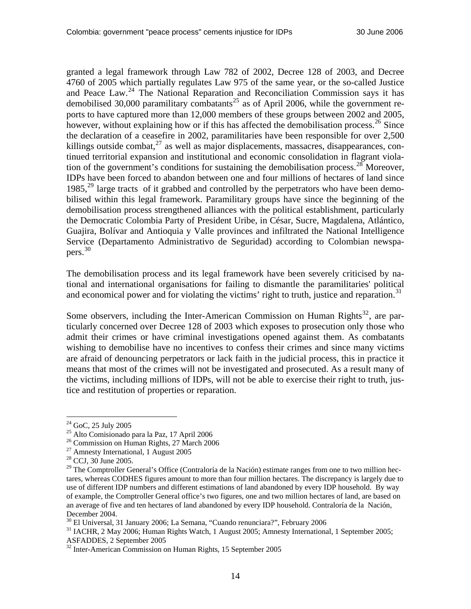granted a legal framework through Law 782 of 2002, Decree 128 of 2003, and Decree 4760 of 2005 which partially regulates Law 975 of the same year, or the so-called Justice and Peace Law.<sup>[24](#page-13-0)</sup> The National Reparation and Reconciliation Commission says it has demobilised 30,000 paramilitary combatants<sup>[25](#page-13-1)</sup> as of April 2006, while the government reports to have captured more than 12,000 members of these groups between 2002 and 2005, however, without explaining how or if this has affected the demobilisation process.<sup>[26](#page-13-2)</sup> Since the declaration of a ceasefire in 2002, paramilitaries have been responsible for over 2,500 killings outside combat, $^{27}$  $^{27}$  $^{27}$  as well as major displacements, massacres, disappearances, continued territorial expansion and institutional and economic consolidation in flagrant viola-tion of the government's conditions for sustaining the demobilisation process.<sup>[28](#page-13-4)</sup> Moreover, IDPs have been forced to abandon between one and four millions of hectares of land since 1985, $^{29}$  $^{29}$  $^{29}$  large tracts of it grabbed and controlled by the perpetrators who have been demobilised within this legal framework. Paramilitary groups have since the beginning of the demobilisation process strengthened alliances with the political establishment, particularly the Democratic Colombia Party of President Uribe, in César, Sucre, Magdalena, Atlántico, Guajira, Bolívar and Antioquia y Valle provinces and infiltrated the National Intelligence Service (Departamento Administrativo de Seguridad) according to Colombian newspapers.[30](#page-13-6)

The demobilisation process and its legal framework have been severely criticised by national and international organisations for failing to dismantle the paramilitaries' political and economical power and for violating the victims' right to truth, justice and reparation.<sup>[31](#page-13-7)</sup>

Some observers, including the Inter-American Commission on Human Rights<sup>[32](#page-13-8)</sup>, are particularly concerned over Decree 128 of 2003 which exposes to prosecution only those who admit their crimes or have criminal investigations opened against them. As combatants wishing to demobilise have no incentives to confess their crimes and since many victims are afraid of denouncing perpetrators or lack faith in the judicial process, this in practice it means that most of the crimes will not be investigated and prosecuted. As a result many of the victims, including millions of IDPs, will not be able to exercise their right to truth, justice and restitution of properties or reparation.

<span id="page-13-0"></span><sup>24</sup> GoC, 25 July 2005

<span id="page-13-1"></span><sup>25</sup> Alto Comisionado para la Paz, 17 April 2006

<span id="page-13-2"></span><sup>&</sup>lt;sup>26</sup> Commission on Human Rights, 27 March 2006

<span id="page-13-3"></span><sup>27</sup> Amnesty International, 1 August 2005

<span id="page-13-4"></span><sup>28</sup> CCJ, 30 June 2005.

<span id="page-13-5"></span><sup>&</sup>lt;sup>29</sup> The Comptroller General's Office (Contraloría de la Nación) estimate ranges from one to two million hectares, whereas CODHES figures amount to more than four million hectares. The discrepancy is largely due to use of different IDP numbers and different estimations of land abandoned by every IDP household. By way of example, the Comptroller General office's two figures, one and two million hectares of land, are based on an average of five and ten hectares of land abandoned by every IDP household. Contraloría de la Nación, December 2004.<br><sup>30</sup> El Universal, 31 January 2006; La Semana, "Cuando renunciara?", February 2006

<span id="page-13-6"></span>

<span id="page-13-7"></span><sup>&</sup>lt;sup>31</sup> IACHR, 2 May 2006; Human Rights Watch, 1 August 2005; Amnesty International, 1 September 2005; ASFADDES, 2 September 2005

<span id="page-13-8"></span><sup>&</sup>lt;sup>32</sup> Inter-American Commission on Human Rights, 15 September 2005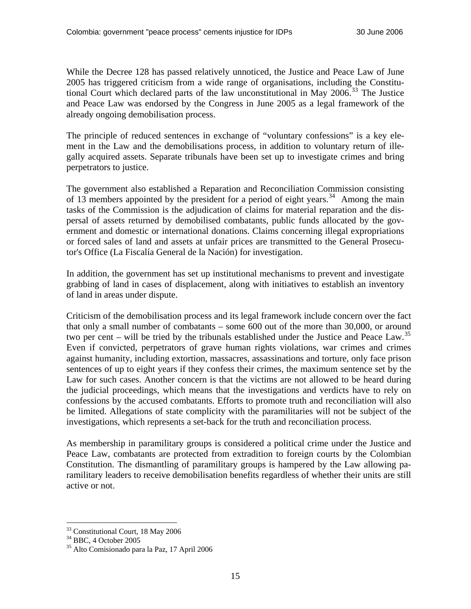While the Decree 128 has passed relatively unnoticed, the Justice and Peace Law of June 2005 has triggered criticism from a wide range of organisations, including the Constitutional Court which declared parts of the law unconstitutional in May  $2006$ <sup>[33](#page-14-0)</sup>. The Justice and Peace Law was endorsed by the Congress in June 2005 as a legal framework of the already ongoing demobilisation process.

The principle of reduced sentences in exchange of "voluntary confessions" is a key element in the Law and the demobilisations process, in addition to voluntary return of illegally acquired assets. Separate tribunals have been set up to investigate crimes and bring perpetrators to justice.

The government also established a Reparation and Reconciliation Commission consisting of 13 members appointed by the president for a period of eight years.<sup>[34](#page-14-1)</sup> Among the main tasks of the Commission is the adjudication of claims for material reparation and the dispersal of assets returned by demobilised combatants, public funds allocated by the government and domestic or international donations. Claims concerning illegal expropriations or forced sales of land and assets at unfair prices are transmitted to the General Prosecutor's Office (La Fiscalía General de la Nación) for investigation.

In addition, the government has set up institutional mechanisms to prevent and investigate grabbing of land in cases of displacement, along with initiatives to establish an inventory of land in areas under dispute.

Criticism of the demobilisation process and its legal framework include concern over the fact that only a small number of combatants – some 600 out of the more than 30,000, or around two per cent – will be tried by the tribunals established under the Justice and Peace Law.<sup>[35](#page-14-2)</sup> Even if convicted, perpetrators of grave human rights violations, war crimes and crimes against humanity, including extortion, massacres, assassinations and torture, only face prison sentences of up to eight years if they confess their crimes, the maximum sentence set by the Law for such cases. Another concern is that the victims are not allowed to be heard during the judicial proceedings, which means that the investigations and verdicts have to rely on confessions by the accused combatants. Efforts to promote truth and reconciliation will also be limited. Allegations of state complicity with the paramilitaries will not be subject of the investigations, which represents a set-back for the truth and reconciliation process.

As membership in paramilitary groups is considered a political crime under the Justice and Peace Law, combatants are protected from extradition to foreign courts by the Colombian Constitution. The dismantling of paramilitary groups is hampered by the Law allowing paramilitary leaders to receive demobilisation benefits regardless of whether their units are still active or not.

<span id="page-14-0"></span><sup>33</sup> Constitutional Court, 18 May 2006

<span id="page-14-1"></span><sup>34</sup> BBC, 4 October 2005

<span id="page-14-2"></span><sup>35</sup> Alto Comisionado para la Paz, 17 April 2006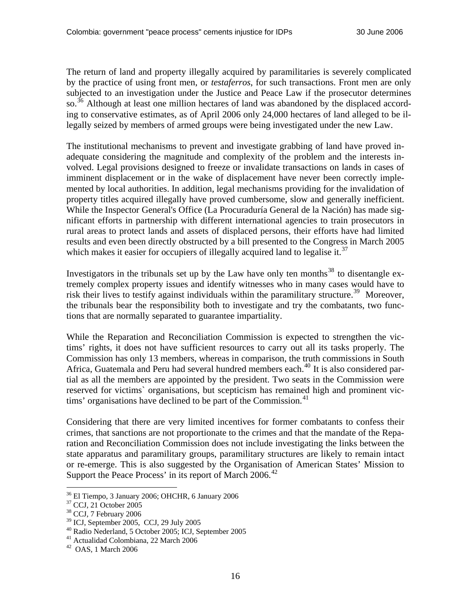The return of land and property illegally acquired by paramilitaries is severely complicated by the practice of using front men, or *testaferros*, for such transactions. Front men are only subjected to an investigation under the Justice and Peace Law if the prosecutor determines so.<sup>[36](#page-15-0)</sup> Although at least one million hectares of land was abandoned by the displaced according to conservative estimates, as of April 2006 only 24,000 hectares of land alleged to be illegally seized by members of armed groups were being investigated under the new Law.

The institutional mechanisms to prevent and investigate grabbing of land have proved inadequate considering the magnitude and complexity of the problem and the interests involved. Legal provisions designed to freeze or invalidate transactions on lands in cases of imminent displacement or in the wake of displacement have never been correctly implemented by local authorities. In addition, legal mechanisms providing for the invalidation of property titles acquired illegally have proved cumbersome, slow and generally inefficient. While the Inspector General's Office (La Procuraduría General de la Nación) has made significant efforts in partnership with different international agencies to train prosecutors in rural areas to protect lands and assets of displaced persons, their efforts have had limited results and even been directly obstructed by a bill presented to the Congress in March 2005 which makes it easier for occupiers of illegally acquired land to legalise it.<sup>[37](#page-15-1)</sup>

Investigators in the tribunals set up by the Law have only ten months<sup>[38](#page-15-2)</sup> to disentangle extremely complex property issues and identify witnesses who in many cases would have to risk their lives to testify against individuals within the paramilitary structure.<sup>[39](#page-15-3)</sup> Moreover, the tribunals bear the responsibility both to investigate and try the combatants, two functions that are normally separated to guarantee impartiality.

While the Reparation and Reconciliation Commission is expected to strengthen the victims' rights, it does not have sufficient resources to carry out all its tasks properly. The Commission has only 13 members, whereas in comparison, the truth commissions in South Africa, Guatemala and Peru had several hundred members each.<sup>[40](#page-15-4)</sup> It is also considered partial as all the members are appointed by the president. Two seats in the Commission were reserved for victims` organisations, but scepticism has remained high and prominent vic-tims' organisations have declined to be part of the Commission.<sup>[41](#page-15-5)</sup>

Considering that there are very limited incentives for former combatants to confess their crimes, that sanctions are not proportionate to the crimes and that the mandate of the Reparation and Reconciliation Commission does not include investigating the links between the state apparatus and paramilitary groups, paramilitary structures are likely to remain intact or re-emerge. This is also suggested by the Organisation of American States' Mission to Support the Peace Process' in its report of March 2006.<sup>[42](#page-15-6)</sup>

<span id="page-15-0"></span><sup>36</sup> El Tiempo, 3 January 2006; OHCHR, 6 January 2006

<span id="page-15-1"></span><sup>37</sup> CCJ, 21 October 2005

<span id="page-15-2"></span><sup>38</sup> CCJ, 7 February 2006

<span id="page-15-3"></span><sup>39</sup> ICJ, September 2005, CCJ, 29 July 2005

<span id="page-15-4"></span><sup>40</sup> Radio Nederland, 5 October 2005; ICJ, September 2005

<span id="page-15-5"></span><sup>41</sup> Actualidad Colombiana, 22 March 2006

<span id="page-15-6"></span><sup>42</sup> OAS, 1 March 2006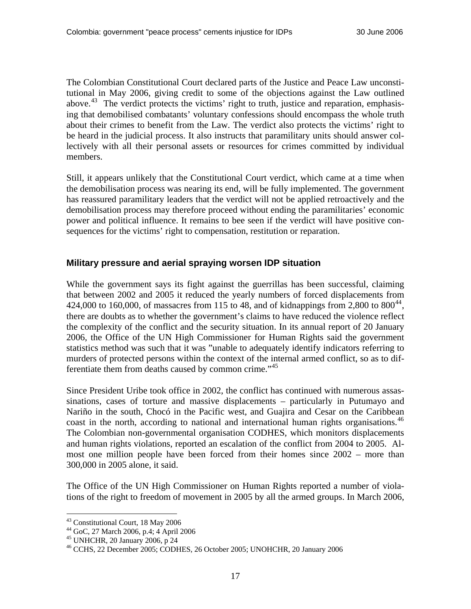<span id="page-16-0"></span>The Colombian Constitutional Court declared parts of the Justice and Peace Law unconstitutional in May 2006, giving credit to some of the objections against the Law outlined above.<sup>[43](#page-16-1)</sup> The verdict protects the victims' right to truth, justice and reparation, emphasising that demobilised combatants' voluntary confessions should encompass the whole truth about their crimes to benefit from the Law. The verdict also protects the victims' right to be heard in the judicial process. It also instructs that paramilitary units should answer collectively with all their personal assets or resources for crimes committed by individual members.

Still, it appears unlikely that the Constitutional Court verdict, which came at a time when the demobilisation process was nearing its end, will be fully implemented. The government has reassured paramilitary leaders that the verdict will not be applied retroactively and the demobilisation process may therefore proceed without ending the paramilitaries' economic power and political influence. It remains to bee seen if the verdict will have positive consequences for the victims' right to compensation, restitution or reparation.

#### **Military pressure and aerial spraying worsen IDP situation**

While the government says its fight against the guerrillas has been successful, claiming that between 2002 and 2005 it reduced the yearly numbers of forced displacements from 424,000 to 160,000, of massacres from 115 to 48, and of kidnappings from 2,800 to  $800^{44}$  $800^{44}$  $800^{44}$ , there are doubts as to whether the government's claims to have reduced the violence reflect the complexity of the conflict and the security situation. In its annual report of 20 January 2006, the Office of the UN High Commissioner for Human Rights said the government statistics method was such that it was "unable to adequately identify indicators referring to murders of protected persons within the context of the internal armed conflict, so as to dif-ferentiate them from deaths caused by common crime.<sup>"[45](#page-16-3)</sup>

Since President Uribe took office in 2002, the conflict has continued with numerous assassinations, cases of torture and massive displacements – particularly in Putumayo and Nariño in the south, Chocó in the Pacific west, and Guajira and Cesar on the Caribbean coast in the north, according to national and international human rights organisations.<sup>[46](#page-16-4)</sup> The Colombian non-governmental organisation CODHES, which monitors displacements and human rights violations, reported an escalation of the conflict from 2004 to 2005. Almost one million people have been forced from their homes since 2002 – more than 300,000 in 2005 alone, it said.

The Office of the UN High Commissioner on Human Rights reported a number of violations of the right to freedom of movement in 2005 by all the armed groups. In March 2006,

<span id="page-16-1"></span><sup>43</sup> Constitutional Court, 18 May 2006

<span id="page-16-2"></span><sup>44</sup> GoC, 27 March 2006, p.4; 4 April 2006

<span id="page-16-3"></span><sup>45</sup> UNHCHR, 20 January 2006, p 24

<span id="page-16-4"></span><sup>46</sup> CCHS, 22 December 2005; CODHES, 26 October 2005; UNOHCHR, 20 January 2006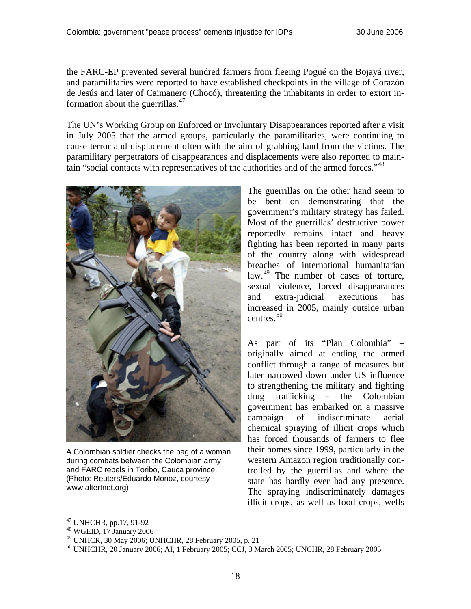the FARC-EP prevented several hundred farmers from fleeing Pogué on the Bojayá river, and paramilitaries were reported to have established checkpoints in the village of Corazón de Jesús and later of Caimanero (Chocó), threatening the inhabitants in order to extort information about the guerrillas. $47$ 

The UN's Working Group on Enforced or Involuntary Disappearances reported after a visit in July 2005 that the armed groups, particularly the paramilitaries, were continuing to cause terror and displacement often with the aim of grabbing land from the victims. The paramilitary perpetrators of disappearances and displacements were also reported to maintain "social contacts with representatives of the authorities and of the armed forces."[48](#page-17-1)



A Colombian soldier checks the bag of a woman during combats between the Colombian army and FARC rebels in Toribo, Cauca province. (Photo: Reuters/Eduardo Monoz, courtesy www.altertnet.org)

The guerrillas on the other hand seem to be bent on demonstrating that the government's military strategy has failed. Most of the guerrillas' destructive power reportedly remains intact and heavy fighting has been reported in many parts of the country along with widespread breaches of international humanitarian law.<sup>[49](#page-17-2)</sup> The number of cases of torture, sexual violence, forced disappearances and extra-judicial executions has increased in 2005, mainly outside urban centres. $50$ 

As part of its "Plan Colombia" – originally aimed at ending the armed conflict through a range of measures but later narrowed down under US influence to strengthening the military and fighting drug trafficking - the Colombian government has embarked on a massive campaign of indiscriminate aerial chemical spraying of illicit crops which has forced thousands of farmers to flee their homes since 1999, particularly in the western Amazon region traditionally controlled by the guerrillas and where the state has hardly ever had any presence. The spraying indiscriminately damages illicit crops, as well as food crops, wells

<span id="page-17-0"></span><sup>47</sup> UNHCHR, pp.17, 91-92

<span id="page-17-1"></span><sup>48</sup> WGEID, 17 January 2006

<span id="page-17-2"></span><sup>49</sup> UNHCR, 30 May 2006; UNHCHR, 28 February 2005, p. 21

<span id="page-17-3"></span><sup>50</sup> UNHCHR, 20 January 2006; AI, 1 February 2005; CCJ, 3 March 2005; UNCHR, 28 February 2005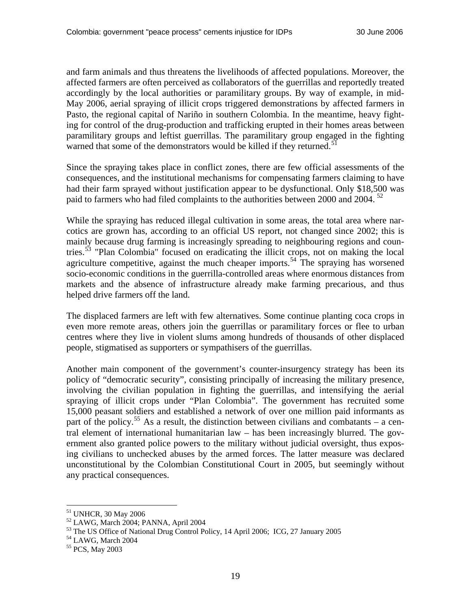and farm animals and thus threatens the livelihoods of affected populations. Moreover, the affected farmers are often perceived as collaborators of the guerrillas and reportedly treated accordingly by the local authorities or paramilitary groups. By way of example, in mid-May 2006, aerial spraying of illicit crops triggered demonstrations by affected farmers in Pasto, the regional capital of Nariño in southern Colombia. In the meantime, heavy fighting for control of the drug-production and trafficking erupted in their homes areas between paramilitary groups and leftist guerrillas. The paramilitary group engaged in the fighting warned that some of the demonstrators would be killed if they returned.<sup>[51](#page-18-0)</sup>

Since the spraying takes place in conflict zones, there are few official assessments of the consequences, and the institutional mechanisms for compensating farmers claiming to have had their farm sprayed without justification appear to be dysfunctional. Only \$18,500 was paid to farmers who had filed complaints to the authorities between 2000 and 2004.<sup>[52](#page-18-1)</sup>

While the spraying has reduced illegal cultivation in some areas, the total area where narcotics are grown has, according to an official US report, not changed since 2002; this is mainly because drug farming is increasingly spreading to neighbouring regions and countries.[53](#page-18-2) "Plan Colombia" focused on eradicating the illicit crops, not on making the local agriculture competitive, against the much cheaper imports.<sup>[54](#page-18-3)</sup> The spraying has worsened socio-economic conditions in the guerrilla-controlled areas where enormous distances from markets and the absence of infrastructure already make farming precarious, and thus helped drive farmers off the land.

The displaced farmers are left with few alternatives. Some continue planting coca crops in even more remote areas, others join the guerrillas or paramilitary forces or flee to urban centres where they live in violent slums among hundreds of thousands of other displaced people, stigmatised as supporters or sympathisers of the guerrillas.

Another main component of the government's counter-insurgency strategy has been its policy of "democratic security", consisting principally of increasing the military presence, involving the civilian population in fighting the guerrillas, and intensifying the aerial spraying of illicit crops under "Plan Colombia". The government has recruited some 15,000 peasant soldiers and established a network of over one million paid informants as part of the policy.<sup>[55](#page-18-4)</sup> As a result, the distinction between civilians and combatants – a central element of international humanitarian law – has been increasingly blurred. The government also granted police powers to the military without judicial oversight, thus exposing civilians to unchecked abuses by the armed forces. The latter measure was declared unconstitutional by the Colombian Constitutional Court in 2005, but seemingly without any practical consequences.

<span id="page-18-0"></span><sup>51</sup> UNHCR, 30 May 2006

<span id="page-18-1"></span><sup>52</sup> LAWG, March 2004; PANNA, April 2004

<span id="page-18-2"></span> $^{53}$  The US Office of National Drug Control Policy, 14 April 2006; ICG, 27 January 2005  $^{54}$  LAWG, March 2004

<span id="page-18-3"></span>

<span id="page-18-4"></span><sup>55</sup> PCS, May 2003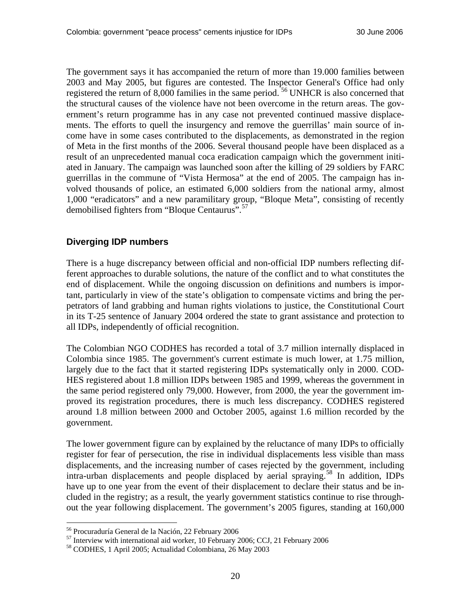<span id="page-19-0"></span>The government says it has accompanied the return of more than 19.000 families between 2003 and May 2005, but figures are contested. The Inspector General's Office had only registered the return of 8,000 families in the same period. [56](#page-19-1) UNHCR is also concerned that the structural causes of the violence have not been overcome in the return areas. The government's return programme has in any case not prevented continued massive displacements. The efforts to quell the insurgency and remove the guerrillas' main source of income have in some cases contributed to the displacements, as demonstrated in the region of Meta in the first months of the 2006. Several thousand people have been displaced as a result of an unprecedented manual coca eradication campaign which the government initiated in January. The campaign was launched soon after the killing of 29 soldiers by FARC guerrillas in the commune of "Vista Hermosa" at the end of 2005. The campaign has involved thousands of police, an estimated 6,000 soldiers from the national army, almost 1,000 "eradicators" and a new paramilitary group, "Bloque Meta", consisting of recently demobilised fighters from "Bloque Centaurus".[57](#page-19-2)

### **Diverging IDP numbers**

There is a huge discrepancy between official and non-official IDP numbers reflecting different approaches to durable solutions, the nature of the conflict and to what constitutes the end of displacement. While the ongoing discussion on definitions and numbers is important, particularly in view of the state's obligation to compensate victims and bring the perpetrators of land grabbing and human rights violations to justice, the Constitutional Court in its T-25 sentence of January 2004 ordered the state to grant assistance and protection to all IDPs, independently of official recognition.

The Colombian NGO CODHES has recorded a total of 3.7 million internally displaced in Colombia since 1985. The government's current estimate is much lower, at 1.75 million, largely due to the fact that it started registering IDPs systematically only in 2000. COD-HES registered about 1.8 million IDPs between 1985 and 1999, whereas the government in the same period registered only 79,000. However, from 2000, the year the government improved its registration procedures, there is much less discrepancy. CODHES registered around 1.8 million between 2000 and October 2005, against 1.6 million recorded by the government.

The lower government figure can by explained by the reluctance of many IDPs to officially register for fear of persecution, the rise in individual displacements less visible than mass displacements, and the increasing number of cases rejected by the government, including intra-urban displacements and people displaced by aerial spraying.[58](#page-19-3) In addition, IDPs have up to one year from the event of their displacement to declare their status and be included in the registry; as a result, the yearly government statistics continue to rise throughout the year following displacement. The government's 2005 figures, standing at 160,000

<span id="page-19-1"></span><sup>56</sup> Procuraduría General de la Nación, 22 February 2006

<span id="page-19-3"></span><span id="page-19-2"></span> $^{57}$  Interview with international aid worker, 10 February 2006; CCJ, 21 February 2006<br> $^{58}$  CODHES, 1 April 2005; Actualidad Colombiana, 26 May 2003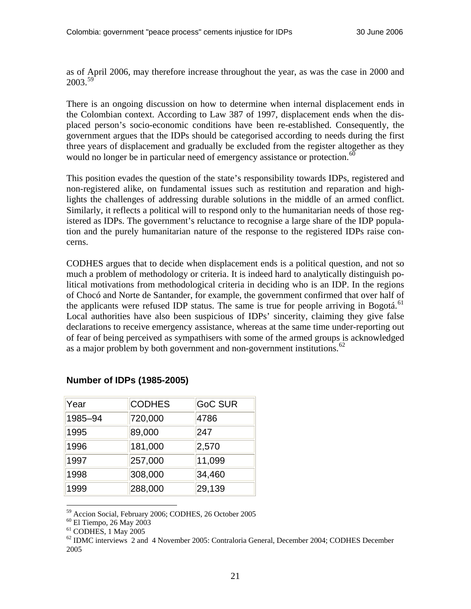as of April 2006, may therefore increase throughout the year, as was the case in 2000 and 2003.[59](#page-20-0)

There is an ongoing discussion on how to determine when internal displacement ends in the Colombian context. According to Law 387 of 1997, displacement ends when the displaced person's socio-economic conditions have been re-established. Consequently, the government argues that the IDPs should be categorised according to needs during the first three years of displacement and gradually be excluded from the register altogether as they would no longer be in particular need of emergency assistance or protection.<sup>[60](#page-20-1)</sup>

This position evades the question of the state's responsibility towards IDPs, registered and non-registered alike, on fundamental issues such as restitution and reparation and highlights the challenges of addressing durable solutions in the middle of an armed conflict. Similarly, it reflects a political will to respond only to the humanitarian needs of those registered as IDPs. The government's reluctance to recognise a large share of the IDP population and the purely humanitarian nature of the response to the registered IDPs raise concerns.

CODHES argues that to decide when displacement ends is a political question, and not so much a problem of methodology or criteria. It is indeed hard to analytically distinguish political motivations from methodological criteria in deciding who is an IDP. In the regions of Chocó and Norte de Santander, for example, the government confirmed that over half of the applicants were refused IDP status. The same is true for people arriving in Bogotá.<sup>[61](#page-20-2)</sup> Local authorities have also been suspicious of IDPs' sincerity, claiming they give false declarations to receive emergency assistance, whereas at the same time under-reporting out of fear of being perceived as sympathisers with some of the armed groups is acknowledged as a major problem by both government and non-government institutions. $62$ 

| Year    | <b>CODHES</b> | <b>GoC SUR</b> |
|---------|---------------|----------------|
| 1985-94 | 720,000       | 4786           |
| 1995    | 89,000        | 247            |
| 1996    | 181,000       | 2,570          |
| 1997    | 257,000       | 11,099         |
| 1998    | 308,000       | 34,460         |
| 1999    | 288,000       | 29,139         |

### **Number of IDPs (1985-2005)**

<span id="page-20-0"></span>59 Accion Social, February 2006; CODHES, 26 October 2005

<span id="page-20-1"></span>60 El Tiempo, 26 May 2003

<span id="page-20-2"></span><sup>61</sup> CODHES, 1 May 2005

<span id="page-20-3"></span> $62$  IDMC interviews 2 and 4 November 2005: Contraloria General, December 2004; CODHES December 2005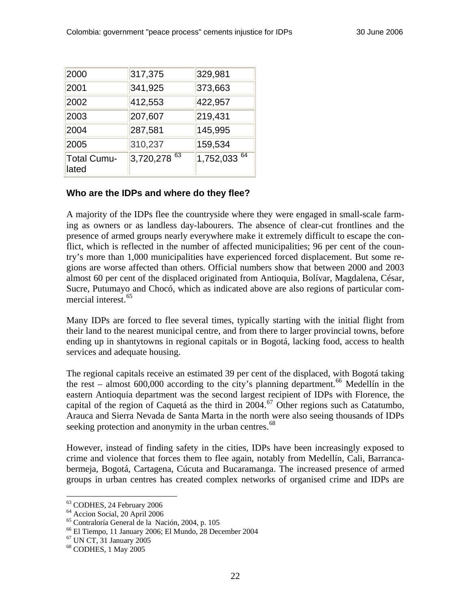<span id="page-21-0"></span>

| 2000                 | 317,375      | 329,981      |
|----------------------|--------------|--------------|
| 2001                 | 341,925      | 373,663      |
| 2002                 | 412,553      | 422,957      |
| 2003                 | 207,607      | 219,431      |
| 2004                 | 287,581      | 145,995      |
| 2005                 | 310,237      | 159,534      |
| Total Cumu-<br>lated | 3,720,278 63 | 1,752,033 64 |

## **Who are the IDPs and where do they flee?**

A majority of the IDPs flee the countryside where they were engaged in small-scale farming as owners or as landless day-labourers. The absence of clear-cut frontlines and the presence of armed groups nearly everywhere make it extremely difficult to escape the conflict, which is reflected in the number of affected municipalities; 96 per cent of the country's more than 1,000 municipalities have experienced forced displacement. But some regions are worse affected than others. Official numbers show that between 2000 and 2003 almost 60 per cent of the displaced originated from Antioquia, Bolívar, Magdalena, César, Sucre, Putumayo and Chocó, which as indicated above are also regions of particular com-mercial interest.<sup>[65](#page-21-3)</sup>

Many IDPs are forced to flee several times, typically starting with the initial flight from their land to the nearest municipal centre, and from there to larger provincial towns, before ending up in shantytowns in regional capitals or in Bogotá, lacking food, access to health services and adequate housing.

The regional capitals receive an estimated 39 per cent of the displaced, with Bogotá taking the rest – almost 600,000 according to the city's planning department.<sup>[66](#page-21-4)</sup> Medellín in the eastern Antioquia department was the second largest recipient of IDPs with Florence, the capital of the region of Caquetá as the third in  $2004$ .<sup>[67](#page-21-5)</sup> Other regions such as Catatumbo, Arauca and Sierra Nevada de Santa Marta in the north were also seeing thousands of IDPs seeking protection and anonymity in the urban centres.<sup>[68](#page-21-6)</sup>

However, instead of finding safety in the cities, IDPs have been increasingly exposed to crime and violence that forces them to flee again, notably from Medellín, Cali, Barrancabermeja, Bogotá, Cartagena, Cúcuta and Bucaramanga. The increased presence of armed groups in urban centres has created complex networks of organised crime and IDPs are

<sup>63</sup> CODHES, 24 February 2006

<span id="page-21-2"></span><span id="page-21-1"></span><sup>64</sup> Accion Social, 20 April 2006

<span id="page-21-3"></span><sup>65</sup> Contraloría General de la Nación, 2004, p. 105

<span id="page-21-5"></span><span id="page-21-4"></span> $^{66}$  El Tiempo, 11 January 2006; El Mundo, 28 December 2004  $^{67}$  UN CT, 31 January 2005

<span id="page-21-6"></span><sup>68</sup> CODHES, 1 May 2005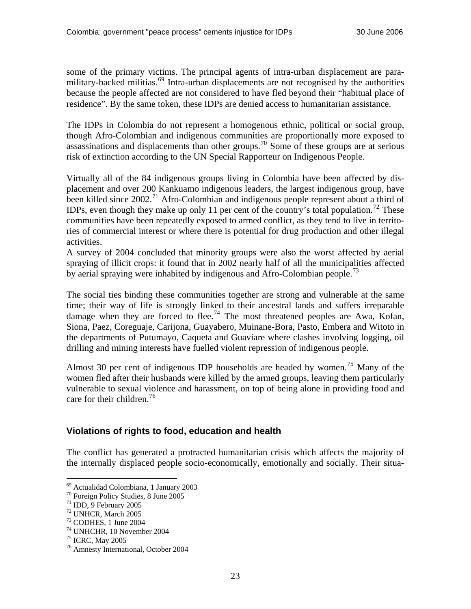<span id="page-22-0"></span>some of the primary victims. The principal agents of intra-urban displacement are para-military-backed militias.<sup>[69](#page-22-1)</sup> Intra-urban displacements are not recognised by the authorities because the people affected are not considered to have fled beyond their "habitual place of residence". By the same token, these IDPs are denied access to humanitarian assistance.

The IDPs in Colombia do not represent a homogenous ethnic, political or social group, though Afro-Colombian and indigenous communities are proportionally more exposed to assassinations and displacements than other groups.<sup>[70](#page-22-2)</sup> Some of these groups are at serious risk of extinction according to the UN Special Rapporteur on Indigenous People.

Virtually all of the 84 indigenous groups living in Colombia have been affected by displacement and over 200 Kankuamo indigenous leaders, the largest indigenous group, have been killed since  $2002$ .<sup>[71](#page-22-3)</sup> Afro-Colombian and indigenous people represent about a third of IDPs, even though they make up only 11 per cent of the country's total population.<sup>[72](#page-22-4)</sup> These communities have been repeatedly exposed to armed conflict, as they tend to live in territories of commercial interest or where there is potential for drug production and other illegal activities.

A survey of 2004 concluded that minority groups were also the worst affected by aerial spraying of illicit crops: it found that in 2002 nearly half of all the municipalities affected by aerial spraying were inhabited by indigenous and Afro-Colombian people.<sup>[73](#page-22-5)</sup>

The social ties binding these communities together are strong and vulnerable at the same time; their way of life is strongly linked to their ancestral lands and suffers irreparable damage when they are forced to flee.<sup>[74](#page-22-6)</sup> The most threatened peoples are Awa, Kofan, Siona, Paez, Coreguaje, Carijona, Guayabero, Muinane-Bora, Pasto, Embera and Witoto in the departments of Putumayo, Caqueta and Guaviare where clashes involving logging, oil drilling and mining interests have fuelled violent repression of indigenous people.

Almost 30 per cent of indigenous IDP households are headed by women.<sup>[75](#page-22-7)</sup> Many of the women fled after their husbands were killed by the armed groups, leaving them particularly vulnerable to sexual violence and harassment, on top of being alone in providing food and care for their children.<sup>[76](#page-22-8)</sup>

### **Violations of rights to food, education and health**

The conflict has generated a protracted humanitarian crisis which affects the majority of the internally displaced people socio-economically, emotionally and socially. Their situa-

<sup>69</sup> Actualidad Colombiana, 1 January 2003

<span id="page-22-2"></span><span id="page-22-1"></span><sup>70</sup> Foreign Policy Studies, 8 June 2005

<span id="page-22-3"></span> $71$  IDD, 9 February 2005

<span id="page-22-4"></span><sup>72</sup> UNHCR, March 2005

<span id="page-22-5"></span><sup>73</sup> CODHES, 1 June 2004

<span id="page-22-6"></span><sup>74</sup> UNHCHR, 10 November 2004

<span id="page-22-7"></span><sup>75</sup> ICRC, May 2005

<span id="page-22-8"></span><sup>76</sup> Amnesty International, October 2004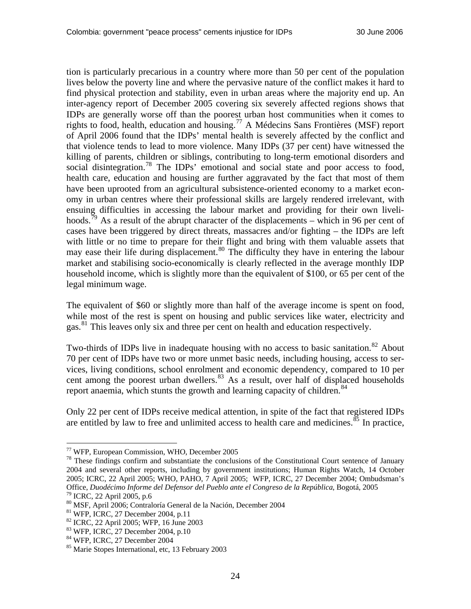tion is particularly precarious in a country where more than 50 per cent of the population lives below the poverty line and where the pervasive nature of the conflict makes it hard to find physical protection and stability, even in urban areas where the majority end up. An inter-agency report of December 2005 covering six severely affected regions shows that IDPs are generally worse off than the poorest urban host communities when it comes to rights to food, health, education and housing.[77](#page-23-0) A Médecins Sans Frontières (MSF) report of April 2006 found that the IDPs' mental health is severely affected by the conflict and that violence tends to lead to more violence. Many IDPs (37 per cent) have witnessed the killing of parents, children or siblings, contributing to long-term emotional disorders and social disintegration.<sup>[78](#page-23-1)</sup> The IDPs' emotional and social state and poor access to food, health care, education and housing are further aggravated by the fact that most of them have been uprooted from an agricultural subsistence-oriented economy to a market economy in urban centres where their professional skills are largely rendered irrelevant, with ensuing difficulties in accessing the labour market and providing for their own liveli-hoods.<sup>[79](#page-23-2)</sup> As a result of the abrupt character of the displacements – which in 96 per cent of cases have been triggered by direct threats, massacres and/or fighting – the IDPs are left with little or no time to prepare for their flight and bring with them valuable assets that may ease their life during displacement.<sup>[80](#page-23-3)</sup> The difficulty they have in entering the labour market and stabilising socio-economically is clearly reflected in the average monthly IDP household income, which is slightly more than the equivalent of \$100, or 65 per cent of the legal minimum wage.

The equivalent of \$60 or slightly more than half of the average income is spent on food, while most of the rest is spent on housing and public services like water, electricity and gas.[81](#page-23-4) This leaves only six and three per cent on health and education respectively.

Two-thirds of IDPs live in inadequate housing with no access to basic sanitation.<sup>[82](#page-23-5)</sup> About 70 per cent of IDPs have two or more unmet basic needs, including housing, access to services, living conditions, school enrolment and economic dependency, compared to 10 per cent among the poorest urban dwellers. $83$  As a result, over half of displaced households report anaemia, which stunts the growth and learning capacity of children.<sup>84</sup>

Only 22 per cent of IDPs receive medical attention, in spite of the fact that registered IDPs are entitled by law to free and unlimited access to health care and medicines. ${}^{85}$  ${}^{85}$  ${}^{85}$  In practice,

<span id="page-23-0"></span><sup>77</sup> WFP, European Commission, WHO, December 2005

<span id="page-23-1"></span><sup>&</sup>lt;sup>78</sup> These findings confirm and substantiate the conclusions of the Constitutional Court sentence of January 2004 and several other reports, including by government institutions; Human Rights Watch, 14 October 2005; ICRC, 22 April 2005; WHO, PAHO, 7 April 2005; WFP, ICRC, 27 December 2004; Ombudsman's Office, *Duodécimo Informe del Defensor del Pueblo ante el Congreso de la República*, Bogotá, 2005 79 ICRC, 22 April 2005, p.6

<span id="page-23-3"></span><span id="page-23-2"></span><sup>80</sup> MSF, April 2006; Contraloría General de la Nación, December 2004

<span id="page-23-4"></span><sup>81</sup> WFP, ICRC, 27 December 2004, p.11

<span id="page-23-5"></span><sup>82</sup> ICRC, 22 April 2005; WFP, 16 June 2003

<span id="page-23-6"></span><sup>83</sup> WFP, ICRC, 27 December 2004, p.10

<span id="page-23-7"></span><sup>84</sup> WFP, ICRC, 27 December 2004

<span id="page-23-8"></span><sup>85</sup> Marie Stopes International, etc, 13 February 2003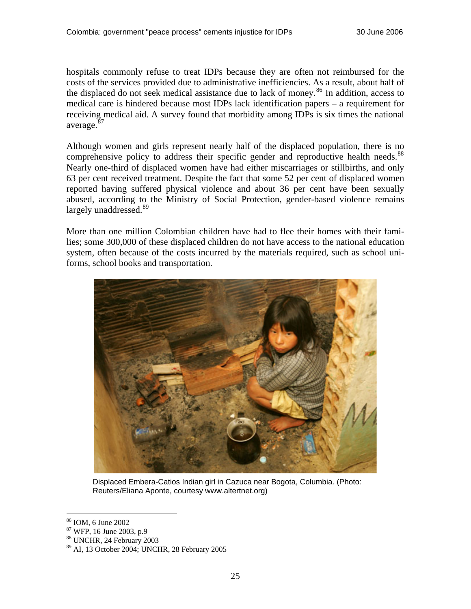hospitals commonly refuse to treat IDPs because they are often not reimbursed for the costs of the services provided due to administrative inefficiencies. As a result, about half of the displaced do not seek medical assistance due to lack of money.<sup>[86](#page-24-0)</sup> In addition, access to medical care is hindered because most IDPs lack identification papers – a requirement for receiving medical aid. A survey found that morbidity among IDPs is six times the national average.<sup>[87](#page-24-1)</sup>

Although women and girls represent nearly half of the displaced population, there is no comprehensive policy to address their specific gender and reproductive health needs.<sup>[88](#page-24-2)</sup> Nearly one-third of displaced women have had either miscarriages or stillbirths, and only 63 per cent received treatment. Despite the fact that some 52 per cent of displaced women reported having suffered physical violence and about 36 per cent have been sexually abused, according to the Ministry of Social Protection, gender-based violence remains largely unaddressed.<sup>[89](#page-24-3)</sup>

More than one million Colombian children have had to flee their homes with their families; some 300,000 of these displaced children do not have access to the national education system, often because of the costs incurred by the materials required, such as school uniforms, school books and transportation.



Displaced Embera-Catios Indian girl in Cazuca near Bogota, Columbia. (Photo: Reuters/Eliana Aponte, courtesy www.altertnet.org)

<sup>86</sup> IOM, 6 June 2002

<span id="page-24-1"></span><span id="page-24-0"></span><sup>87</sup> WFP, 16 June 2003, p.9

<span id="page-24-2"></span><sup>88</sup> UNCHR, 24 February 2003

<span id="page-24-3"></span><sup>89</sup> AI, 13 October 2004; UNCHR, 28 February 2005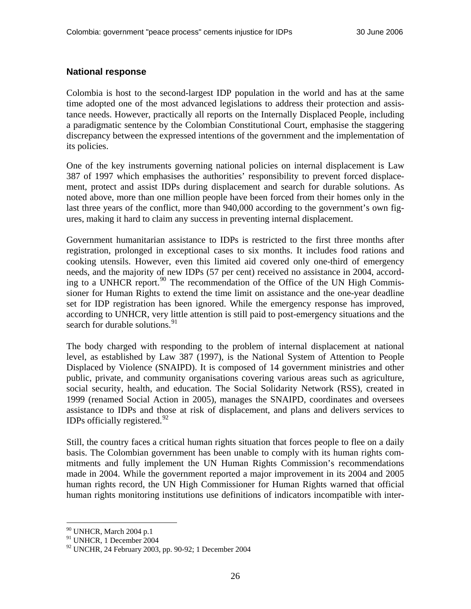#### <span id="page-25-0"></span>**National response**

Colombia is host to the second-largest IDP population in the world and has at the same time adopted one of the most advanced legislations to address their protection and assistance needs. However, practically all reports on the Internally Displaced People, including a paradigmatic sentence by the Colombian Constitutional Court, emphasise the staggering discrepancy between the expressed intentions of the government and the implementation of its policies.

One of the key instruments governing national policies on internal displacement is Law 387 of 1997 which emphasises the authorities' responsibility to prevent forced displacement, protect and assist IDPs during displacement and search for durable solutions. As noted above, more than one million people have been forced from their homes only in the last three years of the conflict, more than 940,000 according to the government's own figures, making it hard to claim any success in preventing internal displacement.

Government humanitarian assistance to IDPs is restricted to the first three months after registration, prolonged in exceptional cases to six months. It includes food rations and cooking utensils. However, even this limited aid covered only one-third of emergency needs, and the majority of new IDPs (57 per cent) received no assistance in 2004, according to a UNHCR report. $90$  The recommendation of the Office of the UN High Commissioner for Human Rights to extend the time limit on assistance and the one-year deadline set for IDP registration has been ignored. While the emergency response has improved, according to UNHCR, very little attention is still paid to post-emergency situations and the search for durable solutions.<sup>[91](#page-25-2)</sup>

The body charged with responding to the problem of internal displacement at national level, as established by Law 387 (1997), is the National System of Attention to People Displaced by Violence (SNAIPD). It is composed of 14 government ministries and other public, private, and community organisations covering various areas such as agriculture, social security, health, and education. The Social Solidarity Network (RSS), created in 1999 (renamed Social Action in 2005), manages the SNAIPD, coordinates and oversees assistance to IDPs and those at risk of displacement, and plans and delivers services to IDPs officially registered. $92$ 

Still, the country faces a critical human rights situation that forces people to flee on a daily basis. The Colombian government has been unable to comply with its human rights commitments and fully implement the UN Human Rights Commission's recommendations made in 2004. While the government reported a major improvement in its 2004 and 2005 human rights record, the UN High Commissioner for Human Rights warned that official human rights monitoring institutions use definitions of indicators incompatible with inter-

<sup>90</sup> UNHCR, March 2004 p.1

<span id="page-25-2"></span><span id="page-25-1"></span><sup>91</sup> UNHCR, 1 December 2004

<span id="page-25-3"></span><sup>92</sup> UNCHR, 24 February 2003, pp. 90-92; 1 December 2004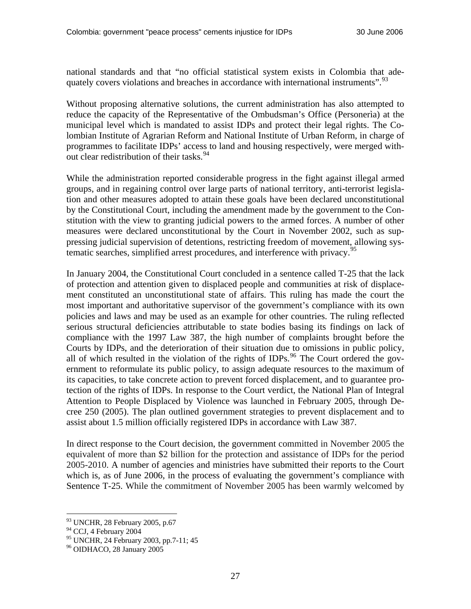national standards and that "no official statistical system exists in Colombia that ade-quately covers violations and breaches in accordance with international instruments".<sup>[93](#page-26-0)</sup>

Without proposing alternative solutions, the current administration has also attempted to reduce the capacity of the Representative of the Ombudsman's Office (Personerìa) at the municipal level which is mandated to assist IDPs and protect their legal rights. The Colombian Institute of Agrarian Reform and National Institute of Urban Reform, in charge of programmes to facilitate IDPs' access to land and housing respectively, were merged without clear redistribution of their tasks.  $94$ 

While the administration reported considerable progress in the fight against illegal armed groups, and in regaining control over large parts of national territory, anti-terrorist legislation and other measures adopted to attain these goals have been declared unconstitutional by the Constitutional Court, including the amendment made by the government to the Constitution with the view to granting judicial powers to the armed forces. A number of other measures were declared unconstitutional by the Court in November 2002, such as suppressing judicial supervision of detentions, restricting freedom of movement, allowing sys-tematic searches, simplified arrest procedures, and interference with privacy.<sup>[95](#page-26-2)</sup>

In January 2004, the Constitutional Court concluded in a sentence called T-25 that the lack of protection and attention given to displaced people and communities at risk of displacement constituted an unconstitutional state of affairs. This ruling has made the court the most important and authoritative supervisor of the government's compliance with its own policies and laws and may be used as an example for other countries. The ruling reflected serious structural deficiencies attributable to state bodies basing its findings on lack of compliance with the 1997 Law 387, the high number of complaints brought before the Courts by IDPs, and the deterioration of their situation due to omissions in public policy, all of which resulted in the violation of the rights of IDPs.<sup>[96](#page-26-3)</sup> The Court ordered the government to reformulate its public policy, to assign adequate resources to the maximum of its capacities, to take concrete action to prevent forced displacement, and to guarantee protection of the rights of IDPs. In response to the Court verdict, the National Plan of Integral Attention to People Displaced by Violence was launched in February 2005, through Decree 250 (2005). The plan outlined government strategies to prevent displacement and to assist about 1.5 million officially registered IDPs in accordance with Law 387.

In direct response to the Court decision, the government committed in November 2005 the equivalent of more than \$2 billion for the protection and assistance of IDPs for the period 2005-2010. A number of agencies and ministries have submitted their reports to the Court which is, as of June 2006, in the process of evaluating the government's compliance with Sentence T-25. While the commitment of November 2005 has been warmly welcomed by

<span id="page-26-0"></span><sup>93</sup> UNCHR, 28 February 2005, p.67

<span id="page-26-1"></span><sup>&</sup>lt;sup>94</sup> CCJ, 4 February 2004

<span id="page-26-2"></span><sup>95</sup> UNCHR, 24 February 2003, pp.7-11; 45

<span id="page-26-3"></span><sup>96</sup> OIDHACO, 28 January 2005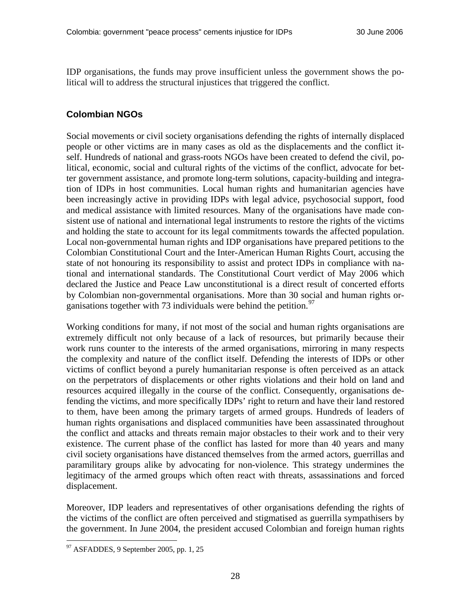<span id="page-27-0"></span>IDP organisations, the funds may prove insufficient unless the government shows the political will to address the structural injustices that triggered the conflict.

## **Colombian NGOs**

Social movements or civil society organisations defending the rights of internally displaced people or other victims are in many cases as old as the displacements and the conflict itself. Hundreds of national and grass-roots NGOs have been created to defend the civil, political, economic, social and cultural rights of the victims of the conflict, advocate for better government assistance, and promote long-term solutions, capacity-building and integration of IDPs in host communities. Local human rights and humanitarian agencies have been increasingly active in providing IDPs with legal advice, psychosocial support, food and medical assistance with limited resources. Many of the organisations have made consistent use of national and international legal instruments to restore the rights of the victims and holding the state to account for its legal commitments towards the affected population. Local non-governmental human rights and IDP organisations have prepared petitions to the Colombian Constitutional Court and the Inter-American Human Rights Court, accusing the state of not honouring its responsibility to assist and protect IDPs in compliance with national and international standards. The Constitutional Court verdict of May 2006 which declared the Justice and Peace Law unconstitutional is a direct result of concerted efforts by Colombian non-governmental organisations. More than 30 social and human rights organisations together with 73 individuals were behind the petition.  $97$ 

Working conditions for many, if not most of the social and human rights organisations are extremely difficult not only because of a lack of resources, but primarily because their work runs counter to the interests of the armed organisations, mirroring in many respects the complexity and nature of the conflict itself. Defending the interests of IDPs or other victims of conflict beyond a purely humanitarian response is often perceived as an attack on the perpetrators of displacements or other rights violations and their hold on land and resources acquired illegally in the course of the conflict. Consequently, organisations defending the victims, and more specifically IDPs' right to return and have their land restored to them, have been among the primary targets of armed groups. Hundreds of leaders of human rights organisations and displaced communities have been assassinated throughout the conflict and attacks and threats remain major obstacles to their work and to their very existence. The current phase of the conflict has lasted for more than 40 years and many civil society organisations have distanced themselves from the armed actors, guerrillas and paramilitary groups alike by advocating for non-violence. This strategy undermines the legitimacy of the armed groups which often react with threats, assassinations and forced displacement.

Moreover, IDP leaders and representatives of other organisations defending the rights of the victims of the conflict are often perceived and stigmatised as guerrilla sympathisers by the government. In June 2004, the president accused Colombian and foreign human rights

<span id="page-27-1"></span><sup>97</sup> ASFADDES, 9 September 2005, pp. 1, 25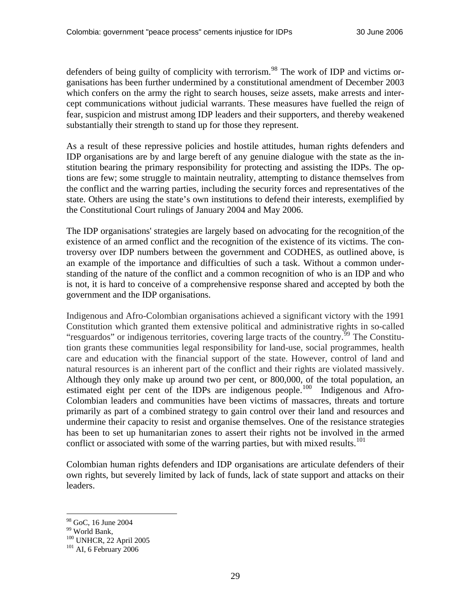defenders of being guilty of complicity with terrorism.<sup>[98](#page-28-0)</sup> The work of IDP and victims organisations has been further undermined by a constitutional amendment of December 2003 which confers on the army the right to search houses, seize assets, make arrests and intercept communications without judicial warrants. These measures have fuelled the reign of fear, suspicion and mistrust among IDP leaders and their supporters, and thereby weakened substantially their strength to stand up for those they represent.

As a result of these repressive policies and hostile attitudes, human rights defenders and IDP organisations are by and large bereft of any genuine dialogue with the state as the institution bearing the primary responsibility for protecting and assisting the IDPs. The options are few; some struggle to maintain neutrality, attempting to distance themselves from the conflict and the warring parties, including the security forces and representatives of the state. Others are using the state's own institutions to defend their interests, exemplified by the Constitutional Court rulings of January 2004 and May 2006.

The IDP organisations' strategies are largely based on advocating for the recognition of the existence of an armed conflict and the recognition of the existence of its victims. The controversy over IDP numbers between the government and CODHES, as outlined above, is an example of the importance and difficulties of such a task. Without a common understanding of the nature of the conflict and a common recognition of who is an IDP and who is not, it is hard to conceive of a comprehensive response shared and accepted by both the government and the IDP organisations.

Indigenous and Afro-Colombian organisations achieved a significant victory with the 1991 Constitution which granted them extensive political and administrative rights in so-called "resguardos" or indigenous territories, covering large tracts of the country.<sup>[99](#page-28-1)</sup> The Constitution grants these communities legal responsibility for land-use, social programmes, health care and education with the financial support of the state. However, control of land and natural resources is an inherent part of the conflict and their rights are violated massively. Although they only make up around two per cent, or 800,000, of the total population, an estimated eight per cent of the IDPs are indigenous people.<sup>[100](#page-28-2)</sup> Indigenous and Afro-Colombian leaders and communities have been victims of massacres, threats and torture primarily as part of a combined strategy to gain control over their land and resources and undermine their capacity to resist and organise themselves. One of the resistance strategies has been to set up humanitarian zones to assert their rights not be involved in the armed conflict or associated with some of the warring parties, but with mixed results.<sup>[101](#page-28-3)</sup>

Colombian human rights defenders and IDP organisations are articulate defenders of their own rights, but severely limited by lack of funds, lack of state support and attacks on their leaders.

<span id="page-28-0"></span><sup>98</sup> GoC, 16 June 2004

<span id="page-28-1"></span><sup>99</sup> World Bank,

<span id="page-28-3"></span><span id="page-28-2"></span> $^{100}_{101}$  UNHCR, 22 April 2005<br> $^{101}$  AI, 6 February 2006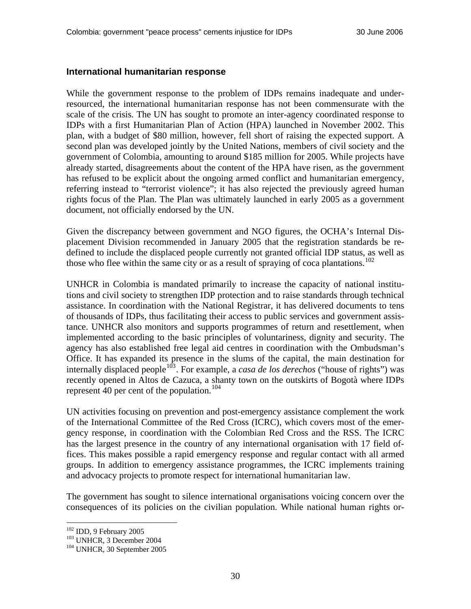#### <span id="page-29-0"></span>**International humanitarian response**

While the government response to the problem of IDPs remains inadequate and underresourced, the international humanitarian response has not been commensurate with the scale of the crisis. The UN has sought to promote an inter-agency coordinated response to IDPs with a first Humanitarian Plan of Action (HPA) launched in November 2002. This plan, with a budget of \$80 million, however, fell short of raising the expected support. A second plan was developed jointly by the United Nations, members of civil society and the government of Colombia, amounting to around \$185 million for 2005. While projects have already started, disagreements about the content of the HPA have risen, as the government has refused to be explicit about the ongoing armed conflict and humanitarian emergency, referring instead to "terrorist violence"; it has also rejected the previously agreed human rights focus of the Plan. The Plan was ultimately launched in early 2005 as a government document, not officially endorsed by the UN.

Given the discrepancy between government and NGO figures, the OCHA's Internal Displacement Division recommended in January 2005 that the registration standards be redefined to include the displaced people currently not granted official IDP status, as well as those who flee within the same city or as a result of spraying of coca plantations.<sup>[102](#page-29-1)</sup>

UNHCR in Colombia is mandated primarily to increase the capacity of national institutions and civil society to strengthen IDP protection and to raise standards through technical assistance. In coordination with the National Registrar, it has delivered documents to tens of thousands of IDPs, thus facilitating their access to public services and government assistance. UNHCR also monitors and supports programmes of return and resettlement, when implemented according to the basic principles of voluntariness, dignity and security. The agency has also established free legal aid centres in coordination with the Ombudsman's Office. It has expanded its presence in the slums of the capital, the main destination for internally displaced people<sup>[103](#page-29-2)</sup>. For example, a *casa de los derechos* ("house of rights") was recently opened in Altos de Cazuca, a shanty town on the outskirts of Bogotà where IDPs represent 40 per cent of the population.<sup>[104](#page-29-3)</sup>

UN activities focusing on prevention and post-emergency assistance complement the work of the International Committee of the Red Cross (ICRC), which covers most of the emergency response, in coordination with the Colombian Red Cross and the RSS. The ICRC has the largest presence in the country of any international organisation with 17 field offices. This makes possible a rapid emergency response and regular contact with all armed groups. In addition to emergency assistance programmes, the ICRC implements training and advocacy projects to promote respect for international humanitarian law.

The government has sought to silence international organisations voicing concern over the consequences of its policies on the civilian population. While national human rights or-

<span id="page-29-3"></span>

<span id="page-29-2"></span><span id="page-29-1"></span><sup>&</sup>lt;sup>102</sup> IDD, 9 February 2005<br><sup>103</sup> UNHCR, 3 December 2004<br><sup>104</sup> UNHCR, 30 September 2005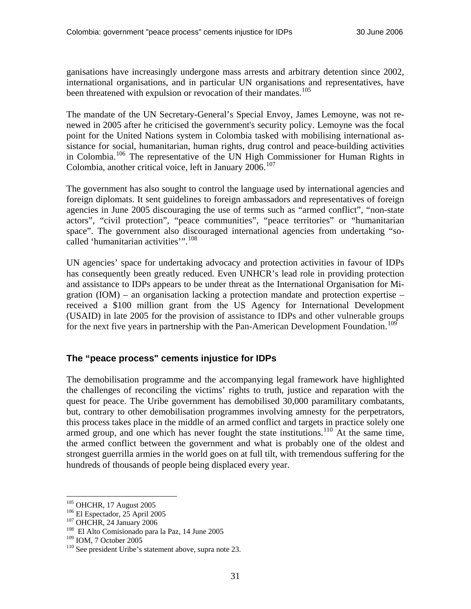<span id="page-30-0"></span>ganisations have increasingly undergone mass arrests and arbitrary detention since 2002, international organisations, and in particular UN organisations and representatives, have been threatened with expulsion or revocation of their mandates.<sup>[105](#page-30-1)</sup>

The mandate of the UN Secretary-General's Special Envoy, James Lemoyne, was not renewed in 2005 after he criticised the government's security policy. Lemoyne was the focal point for the United Nations system in Colombia tasked with mobilising international assistance for social, humanitarian, human rights, drug control and peace-building activities in Colombia.[106](#page-30-2) The representative of the UN High Commissioner for Human Rights in Colombia, another critical voice, left in January 2006.<sup>[107](#page-30-3)</sup>

The government has also sought to control the language used by international agencies and foreign diplomats. It sent guidelines to foreign ambassadors and representatives of foreign agencies in June 2005 discouraging the use of terms such as "armed conflict", "non-state actors", "civil protection", "peace communities", "peace territories" or "humanitarian space". The government also discouraged international agencies from undertaking "so-called 'humanitarian activities'".<sup>[108](#page-30-4)</sup>

UN agencies' space for undertaking advocacy and protection activities in favour of IDPs has consequently been greatly reduced. Even UNHCR's lead role in providing protection and assistance to IDPs appears to be under threat as the International Organisation for Migration (IOM) – an organisation lacking a protection mandate and protection expertise – received a \$100 million grant from the US Agency for International Development (USAID) in late 2005 for the provision of assistance to IDPs and other vulnerable groups for the next five years in partnership with the Pan-American Development Foundation.<sup>[109](#page-30-5)</sup>

### **The "peace process" cements injustice for IDPs**

The demobilisation programme and the accompanying legal framework have highlighted the challenges of reconciling the victims' rights to truth, justice and reparation with the quest for peace. The Uribe government has demobilised 30,000 paramilitary combatants, but, contrary to other demobilisation programmes involving amnesty for the perpetrators, this process takes place in the middle of an armed conflict and targets in practice solely one armed group, and one which has never fought the state institutions.<sup>[110](#page-30-6)</sup> At the same time, the armed conflict between the government and what is probably one of the oldest and strongest guerrilla armies in the world goes on at full tilt, with tremendous suffering for the hundreds of thousands of people being displaced every year.

<span id="page-30-2"></span>

<span id="page-30-4"></span><span id="page-30-3"></span>

<span id="page-30-1"></span><sup>&</sup>lt;sup>105</sup> OHCHR, 17 August 2005<br><sup>106</sup> El Espectador, 25 April 2005<br><sup>107</sup> OHCHR, 24 January 2006<br><sup>108</sup> El Alto Comisionado para la Paz, 14 June 2005<br><sup>109</sup> IOM, 7 October 2005

<span id="page-30-5"></span>

<span id="page-30-6"></span> $110$  See president Uribe's statement above, supra note 23.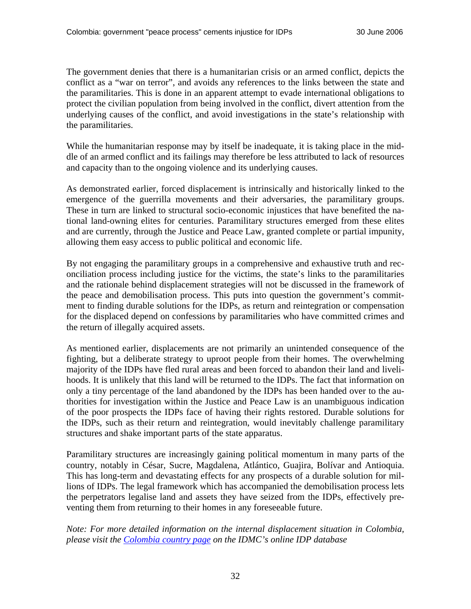The government denies that there is a humanitarian crisis or an armed conflict, depicts the conflict as a "war on terror", and avoids any references to the links between the state and the paramilitaries. This is done in an apparent attempt to evade international obligations to protect the civilian population from being involved in the conflict, divert attention from the underlying causes of the conflict, and avoid investigations in the state's relationship with the paramilitaries.

While the humanitarian response may by itself be inadequate, it is taking place in the middle of an armed conflict and its failings may therefore be less attributed to lack of resources and capacity than to the ongoing violence and its underlying causes.

As demonstrated earlier, forced displacement is intrinsically and historically linked to the emergence of the guerrilla movements and their adversaries, the paramilitary groups. These in turn are linked to structural socio-economic injustices that have benefited the national land-owning elites for centuries. Paramilitary structures emerged from these elites and are currently, through the Justice and Peace Law, granted complete or partial impunity, allowing them easy access to public political and economic life.

By not engaging the paramilitary groups in a comprehensive and exhaustive truth and reconciliation process including justice for the victims, the state's links to the paramilitaries and the rationale behind displacement strategies will not be discussed in the framework of the peace and demobilisation process. This puts into question the government's commitment to finding durable solutions for the IDPs, as return and reintegration or compensation for the displaced depend on confessions by paramilitaries who have committed crimes and the return of illegally acquired assets.

As mentioned earlier, displacements are not primarily an unintended consequence of the fighting, but a deliberate strategy to uproot people from their homes. The overwhelming majority of the IDPs have fled rural areas and been forced to abandon their land and livelihoods. It is unlikely that this land will be returned to the IDPs. The fact that information on only a tiny percentage of the land abandoned by the IDPs has been handed over to the authorities for investigation within the Justice and Peace Law is an unambiguous indication of the poor prospects the IDPs face of having their rights restored. Durable solutions for the IDPs, such as their return and reintegration, would inevitably challenge paramilitary structures and shake important parts of the state apparatus.

Paramilitary structures are increasingly gaining political momentum in many parts of the country, notably in César, Sucre, Magdalena, Atlántico, Guajira, Bolívar and Antioquia. This has long-term and devastating effects for any prospects of a durable solution for millions of IDPs. The legal framework which has accompanied the demobilisation process lets the perpetrators legalise land and assets they have seized from the IDPs, effectively preventing them from returning to their homes in any foreseeable future.

*Note: For more detailed information on the internal displacement situation in Colombia, please visit the [Colombia country page](http://www.internal-displacement.org/8025708F004CE90B/(httpCountries)/CB6FF99A94F70AED802570A7004CEC41?opendocument&count=10000) on the IDMC's online IDP database*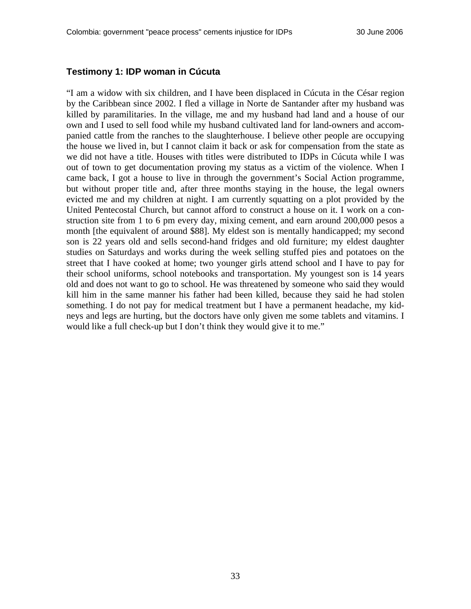#### <span id="page-32-0"></span>**Testimony 1: IDP woman in Cúcuta**

"I am a widow with six children, and I have been displaced in Cúcuta in the César region by the Caribbean since 2002. I fled a village in Norte de Santander after my husband was killed by paramilitaries. In the village, me and my husband had land and a house of our own and I used to sell food while my husband cultivated land for land-owners and accompanied cattle from the ranches to the slaughterhouse. I believe other people are occupying the house we lived in, but I cannot claim it back or ask for compensation from the state as we did not have a title. Houses with titles were distributed to IDPs in Cúcuta while I was out of town to get documentation proving my status as a victim of the violence. When I came back, I got a house to live in through the government's Social Action programme, but without proper title and, after three months staying in the house, the legal owners evicted me and my children at night. I am currently squatting on a plot provided by the United Pentecostal Church, but cannot afford to construct a house on it. I work on a construction site from 1 to 6 pm every day, mixing cement, and earn around 200,000 pesos a month [the equivalent of around \$88]. My eldest son is mentally handicapped; my second son is 22 years old and sells second-hand fridges and old furniture; my eldest daughter studies on Saturdays and works during the week selling stuffed pies and potatoes on the street that I have cooked at home; two younger girls attend school and I have to pay for their school uniforms, school notebooks and transportation. My youngest son is 14 years old and does not want to go to school. He was threatened by someone who said they would kill him in the same manner his father had been killed, because they said he had stolen something. I do not pay for medical treatment but I have a permanent headache, my kidneys and legs are hurting, but the doctors have only given me some tablets and vitamins. I would like a full check-up but I don't think they would give it to me."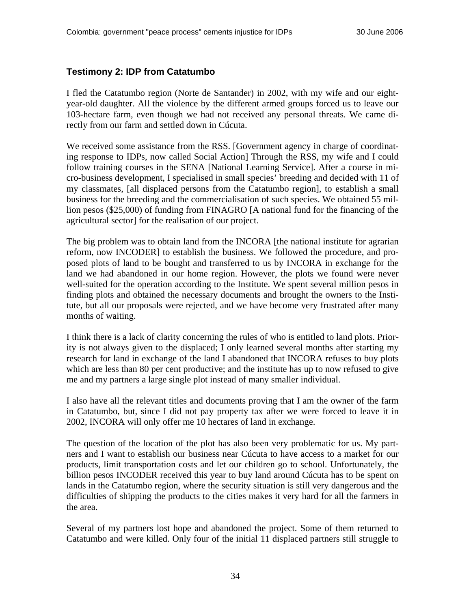#### <span id="page-33-0"></span>**Testimony 2: IDP from Catatumbo**

I fled the Catatumbo region (Norte de Santander) in 2002, with my wife and our eightyear-old daughter. All the violence by the different armed groups forced us to leave our 103-hectare farm, even though we had not received any personal threats. We came directly from our farm and settled down in Cúcuta.

We received some assistance from the RSS. [Government agency in charge of coordinating response to IDPs, now called Social Action] Through the RSS, my wife and I could follow training courses in the SENA [National Learning Service]. After a course in micro-business development, I specialised in small species' breeding and decided with 11 of my classmates, [all displaced persons from the Catatumbo region], to establish a small business for the breeding and the commercialisation of such species. We obtained 55 million pesos (\$25,000) of funding from FINAGRO [A national fund for the financing of the agricultural sector] for the realisation of our project.

The big problem was to obtain land from the INCORA [the national institute for agrarian reform, now INCODER] to establish the business. We followed the procedure, and proposed plots of land to be bought and transferred to us by INCORA in exchange for the land we had abandoned in our home region. However, the plots we found were never well-suited for the operation according to the Institute. We spent several million pesos in finding plots and obtained the necessary documents and brought the owners to the Institute, but all our proposals were rejected, and we have become very frustrated after many months of waiting.

I think there is a lack of clarity concerning the rules of who is entitled to land plots. Priority is not always given to the displaced; I only learned several months after starting my research for land in exchange of the land I abandoned that INCORA refuses to buy plots which are less than 80 per cent productive; and the institute has up to now refused to give me and my partners a large single plot instead of many smaller individual.

I also have all the relevant titles and documents proving that I am the owner of the farm in Catatumbo, but, since I did not pay property tax after we were forced to leave it in 2002, INCORA will only offer me 10 hectares of land in exchange.

The question of the location of the plot has also been very problematic for us. My partners and I want to establish our business near Cúcuta to have access to a market for our products, limit transportation costs and let our children go to school. Unfortunately, the billion pesos INCODER received this year to buy land around Cúcuta has to be spent on lands in the Catatumbo region, where the security situation is still very dangerous and the difficulties of shipping the products to the cities makes it very hard for all the farmers in the area.

Several of my partners lost hope and abandoned the project. Some of them returned to Catatumbo and were killed. Only four of the initial 11 displaced partners still struggle to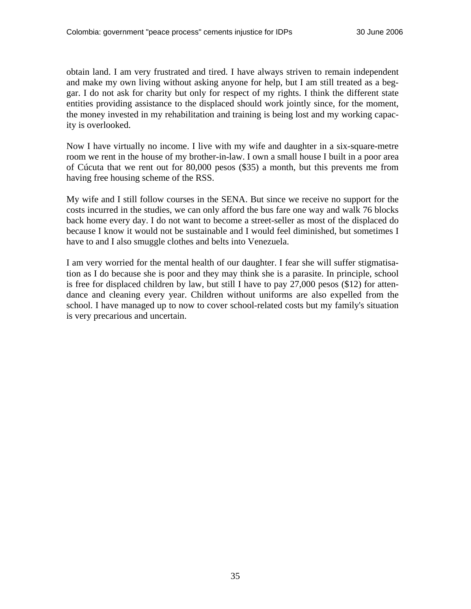obtain land. I am very frustrated and tired. I have always striven to remain independent and make my own living without asking anyone for help, but I am still treated as a beggar. I do not ask for charity but only for respect of my rights. I think the different state entities providing assistance to the displaced should work jointly since, for the moment, the money invested in my rehabilitation and training is being lost and my working capacity is overlooked.

Now I have virtually no income. I live with my wife and daughter in a six-square-metre room we rent in the house of my brother-in-law. I own a small house I built in a poor area of Cúcuta that we rent out for 80,000 pesos (\$35) a month, but this prevents me from having free housing scheme of the RSS.

My wife and I still follow courses in the SENA. But since we receive no support for the costs incurred in the studies, we can only afford the bus fare one way and walk 76 blocks back home every day. I do not want to become a street-seller as most of the displaced do because I know it would not be sustainable and I would feel diminished, but sometimes I have to and I also smuggle clothes and belts into Venezuela.

I am very worried for the mental health of our daughter. I fear she will suffer stigmatisation as I do because she is poor and they may think she is a parasite. In principle, school is free for displaced children by law, but still I have to pay 27,000 pesos (\$12) for attendance and cleaning every year. Children without uniforms are also expelled from the school. I have managed up to now to cover school-related costs but my family's situation is very precarious and uncertain.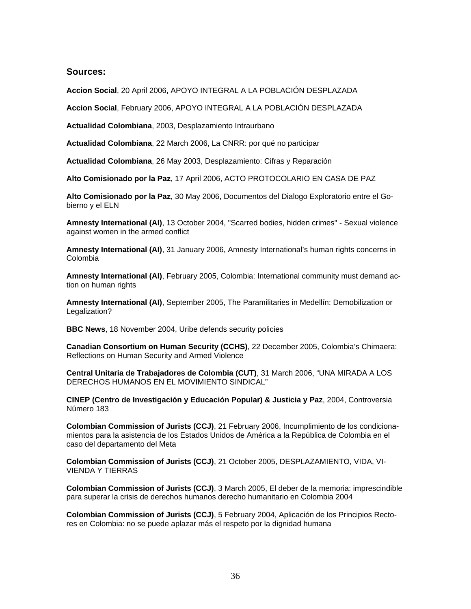#### <span id="page-35-0"></span>**Sources:**

**Accion Social**[, 20 April 2006, APOYO INTEGRAL A LA POBLACIÓN DESPLAZADA](http://www.plancolombia.gov.co/Programas/Apoyo_Integral_Desplazados/SUR/Estadisticas.htm)

**Accion Social**[, February 2006, APOYO INTEGRAL A LA POBLACIÓN DESPLAZADA](http://www.plancolombia.gov.co/Programas/Apoyo_Integral_Desplazados/SUR/Estadisticas.htm)

**Actualidad Colombiana**[, 2003, Desplazamiento Intraurbano](http://www.actualidadcolombiana.org/archivo/mensual/008.htm)

**Actualidad Colombiana**[, 22 March 2006, La CNRR: por qué no participar](http://www.lainsignia.org/2006/marzo/ibe_064.htm)

**Actualidad Colombiana**, 26 May 2003, Desplazamiento: Cifras y Reparación

**Alto Comisionado por la Paz**[, 17 April 2006, ACTO PROTOCOLARIO EN CASA DE PAZ](http://www.altocomisionadoparalapaz.gov.co/)

**Alto Comisionado por la Paz**[, 30 May 2006, Documentos del Dialogo Exploratorio entre el Go](http://www.altocomisionadoparalapaz.gov.co/eln/Casa%20de%20Paz.pdf)[bierno y el ELN](http://www.altocomisionadoparalapaz.gov.co/eln/Casa%20de%20Paz.pdf)

**Amnesty International (AI)**[, 13 October 2004, "Scarred bodies, hidden crimes" - Sexual violence](http://web.amnesty.org/library/Index/ENGAMR230402004)  [against women in the armed conflict](http://web.amnesty.org/library/Index/ENGAMR230402004)

**Amnesty International (AI)**[, 31 January 2006, Amnesty International's human rights concerns in](http://www.amnestyusa.org/countries/colombia/summary.do)  [Colombia](http://www.amnestyusa.org/countries/colombia/summary.do)

**Amnesty International (AI)**[, February 2005, Colombia: International community must demand ac](http://www.reliefweb.int/rw/RWB.NSF/db900SID/MHII-6975GR?OpenDocument&rc=2&emid=ACOS-635NUU)[tion on human rights](http://www.reliefweb.int/rw/RWB.NSF/db900SID/MHII-6975GR?OpenDocument&rc=2&emid=ACOS-635NUU)

**Amnesty International (AI)**[, September 2005, The Paramilitaries in Medellín: Demobilization or](http://web.amnesty.org/library/index/engamr230192005)  [Legalization?](http://web.amnesty.org/library/index/engamr230192005)

**BBC News**[, 18 November 2004, Uribe defends security policies](http://news.bbc.co.uk/2/hi/americas/4021213.stm)

**[Canadian Consortium on Human Security \(CCHS\)](http://www.humansecuritybulletin.info/page230.htm)**, 22 December 2005, Colombia's Chimaera: [Reflections on Human Security and Armed Violence](http://www.humansecuritybulletin.info/page230.htm)

**[Central Unitaria de Trabajadores de Colombia \(CUT\)](http://www.ddhh-colombia.org/Informe%20Junta%20Nacional%203031%20Marzo2.pdf)**, 31 March 2006, "UNA MIRADA A LOS [DERECHOS HUMANOS EN EL MOVIMIENTO SINDICAL"](http://www.ddhh-colombia.org/Informe%20Junta%20Nacional%203031%20Marzo2.pdf)

**[CINEP \(Centro de Investigación y Educación Popular\) & Justicia y Paz](http://www.cinep.org.co/controversia.htm?AA_SL_Session=889913cb133b45b1705a3a64217d2a8c&x=819)**, 2004, Controversia [Número 183](http://www.cinep.org.co/controversia.htm?AA_SL_Session=889913cb133b45b1705a3a64217d2a8c&x=819)

**Colombian Commission of Jurists (CCJ)**[, 21 February 2006, Incumplimiento de los condiciona](http://idmc.nrc.ch/8025708F004CE90B/(httpDocuments)/EF3CAC35D3388DB4C1257122004CEB44/$file/0602Embajada_EU.doc)[mientos para la asistencia de los Estados Unidos de América a la República de Colombia en el](http://idmc.nrc.ch/8025708F004CE90B/(httpDocuments)/EF3CAC35D3388DB4C1257122004CEB44/$file/0602Embajada_EU.doc)  [caso del departamento del Meta](http://idmc.nrc.ch/8025708F004CE90B/(httpDocuments)/EF3CAC35D3388DB4C1257122004CEB44/$file/0602Embajada_EU.doc)

**Colombian Commission of Jurists (CCJ)**[, 21 October 2005, DESPLAZAMIENTO, VIDA, VI-](http://www.acnur.org/pais/docs/1028.pdf)[VIENDA Y TIERRAS](http://www.acnur.org/pais/docs/1028.pdf)

**Colombian Commission of Jurists (CCJ)**[, 3 March 2005, El deber de la memoria: imprescindible](http://www.coljuristas.org/documentos/documentos_pag/DEBER%20MEMORIA%20FINAL.pdf)  [para superar la crisis de derechos humanos derecho humanitario en Colombia 2004](http://www.coljuristas.org/documentos/documentos_pag/DEBER%20MEMORIA%20FINAL.pdf)

**Colombian Commission of Jurists (CCJ)**[, 5 February 2004, Aplicación de los Principios Recto](http://idmc.nrc.ch/8025708F004CE90B/(httpDocuments)/9931AE1DBF590950802570B700590477/$file/CCJ+05Feb04.doc)[res en Colombia: no se puede aplazar más el respeto por la dignidad humana](http://idmc.nrc.ch/8025708F004CE90B/(httpDocuments)/9931AE1DBF590950802570B700590477/$file/CCJ+05Feb04.doc)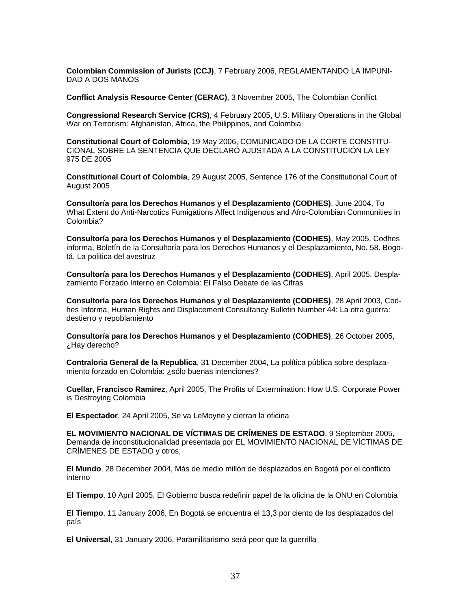**Colombian Commission of Jurists (CCJ)**[, 7 February 2006, REGLAMENTANDO LA IMPUNI-](http://idmc.nrc.ch/8025708F004CE90B/(httpDocuments)/1506CCA60CBE7409C1257122004A4661/$file/Comdec4760.pdf)[DAD A DOS MANOS](http://idmc.nrc.ch/8025708F004CE90B/(httpDocuments)/1506CCA60CBE7409C1257122004A4661/$file/Comdec4760.pdf)

**[Conflict Analysis Resource Center \(CERAC\)](http://www.cerac.org.co/pdf/CSISPresentationwithtext-V10_Annex_Low.pdf)**, 3 November 2005, The Colombian Conflict

**Congressional Research Service (CRS)**[, 4 February 2005, U.S. Military Operations in the Global](http://www.fas.org/man/crs/RL32758.pdf)  [War on Terrorism: Afghanistan, Africa, the Philippines, and Colombia](http://www.fas.org/man/crs/RL32758.pdf)

**Constitutional Court of Colombia**[, 19 May 2006, COMUNICADO DE LA CORTE CONSTITU-](http://idmc.nrc.ch/8025708F004CE90B/(httpDocuments)/4B28854225CB9751C125717D003404D9/$file/COMUNICADO+19+MAYO+DE+2006.doc)[CIONAL SOBRE LA SENTENCIA QUE DECLARÓ AJUSTADA A LA CONSTITUCIÓN LA LEY](http://idmc.nrc.ch/8025708F004CE90B/(httpDocuments)/4B28854225CB9751C125717D003404D9/$file/COMUNICADO+19+MAYO+DE+2006.doc)  [975 DE 2005](http://idmc.nrc.ch/8025708F004CE90B/(httpDocuments)/4B28854225CB9751C125717D003404D9/$file/COMUNICADO+19+MAYO+DE+2006.doc)

**Constitutional Court of Colombia**[, 29 August 2005, Sentence 176 of the Constitutional Court of](http://www.red.gov.co/Interes/T025_2004/Autos_Cumplimiento_Sentencia_T-025.pdf)  [August 2005](http://www.red.gov.co/Interes/T025_2004/Autos_Cumplimiento_Sentencia_T-025.pdf)

**Consultoría para los Derechos Humanos y el Desplazamiento (CODHES)**, June 2004, To What Extent do Anti-Narcotics Fumigations Affect Indigenous and Afro-Colombian Communities in Colombia?

**Consultoría para los Derechos Humanos y el Desplazamiento (CODHES)**, May 2005, Codhes informa, Boletín de la Consultoría para los Derechos Humanos y el Desplazamiento, No. 58. Bogotá, La politica del avestruz

**Consultoría para los Derechos Humanos y el Desplazamiento (CODHES)**, April 2005, Desplazamiento Forzado Interno en Colombia: El Falso Debate de las Cifras

**Consultoría para los Derechos Humanos y el Desplazamiento (CODHES)**, 28 April 2003, Codhes Informa, Human Rights and Displacement Consultancy Bulletin Number 44: La otra guerra: destierro y repoblamiento

**[Consultoría para los Derechos Humanos y el Desplazamiento \(CODHES\)](http://www.codhes.org/boletines/BOLETIN%2064.pdf)**, 26 October 2005, [¿Hay derecho?](http://www.codhes.org/boletines/BOLETIN%2064.pdf)

**Contraloria General de la Republica**[, 31 December 2004, La política pública sobre desplaza](http://docencia.udea.edu.co/lms/moodle/file.php?file=/65/PolP_bDF-Contralor_a2005.pdf)[miento forzado en Colombia: ¿sólo buenas intenciones?](http://docencia.udea.edu.co/lms/moodle/file.php?file=/65/PolP_bDF-Contralor_a2005.pdf)

**Cuellar, Francisco Ramirez**, April 2005, The Profits of Extermination: How U.S. Corporate Power is Destroying Colombia

**El Espectador**[, 24 April 2005, Se va LeMoyne y cierran la oficina](http://www.elespectador.com/historico/2005-04-24/contenido_MI-1083.htm)

**[EL MOVIMIENTO NACIONAL DE VÍCTIMAS DE CRÍMENES DE ESTADO](http://idmc.nrc.ch/8025708F004CE90B/(httpDocuments)/4ED2495ADD2C8A13C1257126004FDD57/$file/demanda.pdf)**, 9 September 2005, [Demanda de inconstitucionalidad presentada por EL MOVIMIENTO NACIONAL DE VÍCTIMAS DE](http://idmc.nrc.ch/8025708F004CE90B/(httpDocuments)/4ED2495ADD2C8A13C1257126004FDD57/$file/demanda.pdf)  [CRÍMENES DE ESTADO y otros,](http://idmc.nrc.ch/8025708F004CE90B/(httpDocuments)/4ED2495ADD2C8A13C1257126004FDD57/$file/demanda.pdf)

**El Mundo**[, 28 December 2004, Más de medio millón de desplazados en Bogotá por el conflicto](http://www.acnur.org/index.php?id_pag=3149)  [interno](http://www.acnur.org/index.php?id_pag=3149)

**El Tiempo**, 10 April 2005, El Gobierno busca redefinir papel de la oficina de la ONU en Colombia

**El Tiempo**[, 11 January 2006, En Bogotá se encuentra el 13,3 por ciento de los desplazados del](http:///)  [país](http:///)

**El Universal**[, 31 January 2006, Paramilitarismo será peor que la guerrilla](http://idmc.nrc.ch/8025708F004CE90B/(httpDocuments)/C138A56132D5E4A9C125710A003034A7/$file/Paramilitarismo+ser%C3%A1+peor+que+la+guerrilla.doc)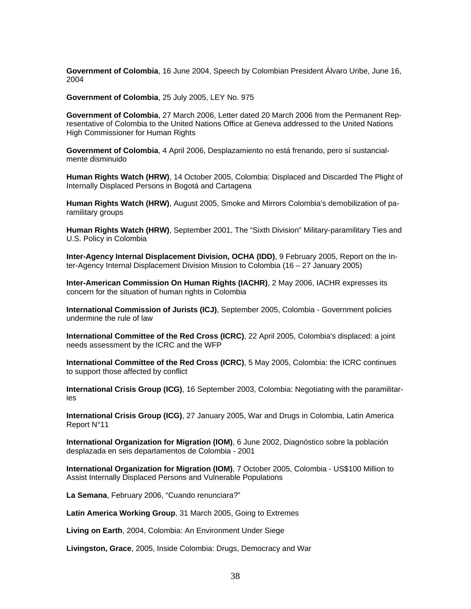**Government of Colombia**[, 16 June 2004, Speech by Colombian President Álvaro Uribe, June 16,](http://ciponline.org/colombia/040616urib.htm)  [2004](http://ciponline.org/colombia/040616urib.htm)

**Government of Colombia**[, 25 July 2005, LEY No. 975](http://www.presidencia.gov.co/leyes/2005/julio/ley975250705.pdf)

**Government of Colombia**[, 27 March 2006, Letter dated 20 March 2006 from the Permanent Rep](http://idmc.nrc.ch/8025708F004CE90B/(httpDocuments)/EDB7AFA79FB14EF5C125714C003727A9/$file/G0612021.pdf)[resentative of Colombia to the United Nations Office at Geneva addressed to the United Nations](http://idmc.nrc.ch/8025708F004CE90B/(httpDocuments)/EDB7AFA79FB14EF5C125714C003727A9/$file/G0612021.pdf)  [High Commissioner for Human Rights](http://idmc.nrc.ch/8025708F004CE90B/(httpDocuments)/EDB7AFA79FB14EF5C125714C003727A9/$file/G0612021.pdf)

**Government of Colombia**[, 4 April 2006, Desplazamiento no está frenando, pero sí sustancial](http://www.reliefweb.int/rw/RWB.NSF/db900SID/LSGZ-6NKCRW?OpenDocument)[mente disminuido](http://www.reliefweb.int/rw/RWB.NSF/db900SID/LSGZ-6NKCRW?OpenDocument)

**Human Rights Watch (HRW)**[, 14 October 2005, Colombia: Displaced and Discarded The Plight of](http://hrw.org/reports/2005/colombia1005/)  [Internally Displaced Persons in Bogotá and Cartagena](http://hrw.org/reports/2005/colombia1005/)

**Human Rights Watch (HRW)**[, August 2005, Smoke and Mirrors Colombia's demobilization of pa](http://hrw.org/reports/2005/colombia0805/)[ramilitary groups](http://hrw.org/reports/2005/colombia0805/)

**Human Rights Watch (HRW)**[, September 2001, The "Sixth Division" Military-paramilitary Ties and](http://www.hrw.org/reports/2001/colombia/)  [U.S. Policy in Colombia](http://www.hrw.org/reports/2001/colombia/)

**[Inter-Agency Internal Displacement Division, OCHA \(IDD\)](http://idmc.nrc.ch/8025708F004CE90B/(httpDocuments)/A5D9FD15BA10EC41802570B7005905C4/$file/IDD+Colombia+09Feb05.doc)**, 9 February 2005, Report on the In[ter-Agency Internal Displacement Division Mission to Colombia \(16 – 27 January 2005\)](http://idmc.nrc.ch/8025708F004CE90B/(httpDocuments)/A5D9FD15BA10EC41802570B7005905C4/$file/IDD+Colombia+09Feb05.doc)

**[Inter-American Commission On Human Rights \(IACHR\)](http://www.reliefweb.int/rw/RWB.NSF/db900SID/SODA-6PG3HK?OpenDocument)**, 2 May 2006, IACHR expresses its [concern for the situation of human rights in Colombia](http://www.reliefweb.int/rw/RWB.NSF/db900SID/SODA-6PG3HK?OpenDocument)

**International Commission of Jurists (ICJ)**[, September 2005, Colombia - Government policies](http://www.icj.org/IMG/pdf/Executive_Summary_final.pdf)  [undermine the rule of law](http://www.icj.org/IMG/pdf/Executive_Summary_final.pdf)

**[International Committee of the Red Cross \(ICRC\)](http://www.icrc.org/web/eng/siteeng0.nsf/iwpList248/F9DCC32F006026D9C1256FD6005197AE)**, 22 April 2005, Colombia's displaced: a joint [needs assessment by the ICRC and the WFP](http://www.icrc.org/web/eng/siteeng0.nsf/iwpList248/F9DCC32F006026D9C1256FD6005197AE)

**[International Committee of the Red Cross \(ICRC\)](http://www.icrc.org/web/eng/siteeng0.nsf/iwpList248/9C220101CDCB4594C1256FF90025B292)**, 5 May 2005, Colombia: the ICRC continues [to support those affected by conflict](http://www.icrc.org/web/eng/siteeng0.nsf/iwpList248/9C220101CDCB4594C1256FF90025B292)

**International Crisis Group (ICG)**[, 16 September 2003, Colombia: Negotiating with the paramilitar](http://www.crisisgroup.org/home/index.cfm?id=2302&l=1)[ies](http://www.crisisgroup.org/home/index.cfm?id=2302&l=1)

**International Crisis Group (ICG)**[, 27 January 2005, War and Drugs in Colombia, Latin America](http://www.reliefweb.int/library/documents/2005/icg-col-27jan.pdf)  [Report N°11](http://www.reliefweb.int/library/documents/2005/icg-col-27jan.pdf)

**[International Organization for Migration \(IOM\)](http://idmc.nrc.ch/8025708F004CE90B/(httpDocuments)/9D0E32A899F2E9B4802570B7005903A3/$file/IOMDiagn%C3%B3stico+IDPs+6Dpts+2001.pdf)**, 6 June 2002, Diagnóstico sobre la población [desplazada en seis departamentos de Colombia - 2001](http://idmc.nrc.ch/8025708F004CE90B/(httpDocuments)/9D0E32A899F2E9B4802570B7005903A3/$file/IOMDiagn%C3%B3stico+IDPs+6Dpts+2001.pdf)

**[International Organization for Migration \(IOM\)](http://iom.int/en/archive/PBN071005.shtml)**, 7 October 2005, Colombia - US\$100 Million to [Assist Internally Displaced Persons and Vulnerable Populations](http://iom.int/en/archive/PBN071005.shtml)

**La Semana**[, February 2006, "Cuando renunciara?"](http://semana.terra.com.co/wf_InfoArticuloArchivado.aspx?IdArt=93806)

**Latin America Working Group**[, 31 March 2005, Going to Extremes](http://www.lawg.org/docs/Going2ExtremesFinal.pdf)

**Living on Earth**[, 2004, Colombia: An Environment Under Siege](http://www.loe.org/series/colombia_pipeline/)

**Livingston, Grace**, 2005, Inside Colombia: Drugs, Democracy and War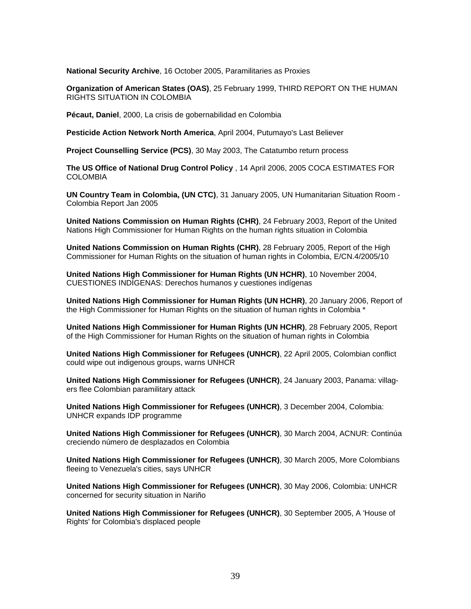**National Security Archive**[, 16 October 2005, Paramilitaries as Proxies](http://www.gwu.edu/%7Ensarchiv/NSAEBB/NSAEBB166/index.htm)

**Organization of American States (OAS)**[, 25 February 1999, THIRD REPORT ON THE HUMAN](http://www.cidh.org/countryrep/Colom99en/table%20of%20contents.htm)  [RIGHTS SITUATION IN COLOMBIA](http://www.cidh.org/countryrep/Colom99en/table%20of%20contents.htm)

**Pécaut, Daniel**, 2000, La crisis de gobernabilidad en Colombia

**[Pesticide Action Network North America](http://www.panna.org/resources/gpc/gpc_200404.14.1.03.dv.html)**, April 2004, Putumayo's Last Believer

**Project Counselling Service (PCS)**[, 30 May 2003, The Catatumbo return process](http://idmc.nrc.ch/8025708F004CE90B/(httpDocuments)/8DC447C711A69590802570B7005903AB/$file/PCS+Catatumbo+return+30may03.pdf)

**[The US Office of National Drug Control Policy](http://www.whitehousedrugpolicy.gov/news/press06/041406.html)** , 14 April 2006, 2005 COCA ESTIMATES FOR [COLOMBIA](http://www.whitehousedrugpolicy.gov/news/press06/041406.html)

**UN Country Team in Colombia, (UN CTC)**, 31 January 2005, UN Humanitarian Situation Room - Colombia Report Jan 2005

**[United Nations Commission on Human Rights \(CHR\)](http://idmc.nrc.ch/8025708F004CE90B/(httpDocuments)/82575FD5647C6484802570B700590374/$file/G0311117.pdf)**, 24 February 2003, Report of the United [Nations High Commissioner for Human Rights on the human rights situation in Colombia](http://idmc.nrc.ch/8025708F004CE90B/(httpDocuments)/82575FD5647C6484802570B700590374/$file/G0311117.pdf)

**[United Nations Commission on Human Rights \(CHR\)](http://www.reliefweb.int/library/documents/2005/unchr-col-28feb.pdf)**, 28 February 2005, Report of the High [Commissioner for Human Rights on the situation of human rights in Colombia, E/CN.4/2005/10](http://www.reliefweb.int/library/documents/2005/unchr-col-28feb.pdf)

**[United Nations High Commissioner for Human Rights \(UN HCHR\)](http://www.hchr.org.co/documentoseinformes/documentos/relatoresespeciales/2004/RelatorIndigenasRodolfoStavenhagen.pdf)**, 10 November 2004, [CUESTIONES INDÍGENAS: Derechos humanos y cuestiones indígenas](http://www.hchr.org.co/documentoseinformes/documentos/relatoresespeciales/2004/RelatorIndigenasRodolfoStavenhagen.pdf)

**[United Nations High Commissioner for Human Rights \(UN HCHR\)](http://www.hchr.org.co/documentoseinformes/informes/altocomisionado/Informe2005_eng.doc)**, 20 January 2006, Report of [the High Commissioner for Human Rights on the situation of human rights in Colombia \\*](http://www.hchr.org.co/documentoseinformes/informes/altocomisionado/Informe2005_eng.doc)

**[United Nations High Commissioner for Human Rights \(UN HCHR\)](http://www.hchr.org.co/documentoseinformes/informes/altocomisionado/Informe2004_eng.pdf)**, 28 February 2005, Report [of the High Commissioner for Human Rights on the situation of human rights in Colombia](http://www.hchr.org.co/documentoseinformes/informes/altocomisionado/Informe2004_eng.pdf)

**[United Nations High Commissioner for Refugees \(UNHCR\)](http://www.unhcr.org/cgi-bin/texis/vtx/news/opendoc.htm?tbl=NEWS&page=home&id=4268f5614)**, 22 April 2005, Colombian conflict [could wipe out indigenous groups, warns UNHCR](http://www.unhcr.org/cgi-bin/texis/vtx/news/opendoc.htm?tbl=NEWS&page=home&id=4268f5614)

**[United Nations High Commissioner for Refugees \(UNHCR\)](http://www.unhcr.org/cgi-bin/texis/vtx/home/+AwwBmv-kKwwwwcwwwwwwwhFqnN0bItFqnDni5AFqnN0bIcFqogdcdMxowMzm1wwwwwwwDzmxwwwwwwwdFqidGmnGaxOa-uPPyER0ay0Ig/opendoc.htm)**, 24 January 2003, Panama: villag[ers flee Colombian paramilitary attack](http://www.unhcr.org/cgi-bin/texis/vtx/home/+AwwBmv-kKwwwwcwwwwwwwhFqnN0bItFqnDni5AFqnN0bIcFqogdcdMxowMzm1wwwwwwwDzmxwwwwwwwdFqidGmnGaxOa-uPPyER0ay0Ig/opendoc.htm)

**[United Nations High Commissioner for Refugees \(UNHCR\)](http://www.reliefweb.int/w/rwb.nsf/6686f45896f15dbc852567ae00530132/c84c884d12321df7c1256f5f0046eb63?OpenDocument)**, 3 December 2004, Colombia: [UNHCR expands IDP programme](http://www.reliefweb.int/w/rwb.nsf/6686f45896f15dbc852567ae00530132/c84c884d12321df7c1256f5f0046eb63?OpenDocument)

**[United Nations High Commissioner for Refugees \(UNHCR\)](http://www.acnur.org/paginas/?id_pag=2261)**, 30 March 2004, ACNUR: Continúa [creciendo número de desplazados en Colombia](http://www.acnur.org/paginas/?id_pag=2261)

**[United Nations High Commissioner for Refugees \(UNHCR\)](http://www.reliefweb.int/rw/RWB.NSF/db900SID/HMYT-6AYKVM?OpenDocument&rc=2&emid=ACOS-635NUU)**, 30 March 2005, More Colombians [fleeing to Venezuela's cities, says UNHCR](http://www.reliefweb.int/rw/RWB.NSF/db900SID/HMYT-6AYKVM?OpenDocument&rc=2&emid=ACOS-635NUU)

**[United Nations High Commissioner for Refugees \(UNHCR\)](http://www.unhcr.org/cgi-bin/texis/vtx/news/opendoc.htm?tbl=NEWS&id=447c17e04&page=news)**, 30 May 2006, Colombia: UNHCR [concerned for security situation in Nariño](http://www.unhcr.org/cgi-bin/texis/vtx/news/opendoc.htm?tbl=NEWS&id=447c17e04&page=news)

**[United Nations High Commissioner for Refugees \(UNHCR\)](http://www.unhcr.org/cgi-bin/texis/vtx/news/opendoc.htm?tbl=NEWS&id=433d40964)**, 30 September 2005, A 'House of [Rights' for Colombia's displaced people](http://www.unhcr.org/cgi-bin/texis/vtx/news/opendoc.htm?tbl=NEWS&id=433d40964)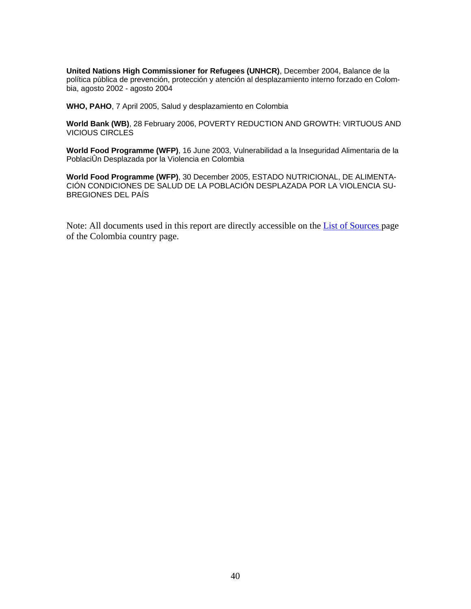**[United Nations High Commissioner for Refugees \(UNHCR\)](http://www.acnur.org/index.php?id_pag=3109)**, December 2004, Balance de la [política pública de prevención, protección y atención al desplazamiento interno forzado en Colom](http://www.acnur.org/index.php?id_pag=3109)[bia, agosto 2002 - agosto 2004](http://www.acnur.org/index.php?id_pag=3109)

**WHO, PAHO**[, 7 April 2005, Salud y desplazamiento en Colombia](http://www.disaster-info.net/desplazados/informes/ops/seriesaldes/)

**World Bank (WB)**[, 28 February 2006, POVERTY REDUCTION AND GROWTH: VIRTUOUS AND](http://siteresources.worldbank.org/EXTLACOFFICEOFCE/Resources/870892-1139877599088/virtuous_circles1_complete.pdf)  [VICIOUS CIRCLES](http://siteresources.worldbank.org/EXTLACOFFICEOFCE/Resources/870892-1139877599088/virtuous_circles1_complete.pdf)

**World Food Programme (WFP)**, 16 June 2003, Vulnerabilidad a la Inseguridad Alimentaria de la PoblaciÛn Desplazada por la Violencia en Colombia

**World Food Programme (WFP)**[, 30 December 2005, ESTADO NUTRICIONAL, DE ALIMENTA-](http://documents.wfp.org/stellent/groups/public/documents/liaison_offices/wfp086486.pdf)[CIÓN CONDICIONES DE SALUD DE LA POBLACIÓN DESPLAZADA POR LA VIOLENCIA SU-](http://documents.wfp.org/stellent/groups/public/documents/liaison_offices/wfp086486.pdf)[BREGIONES DEL PAÍS](http://documents.wfp.org/stellent/groups/public/documents/liaison_offices/wfp086486.pdf)

Note: All documents used in this report are directly accessible on the [List of Sources](http://www.internal-displacement.org/8025708F004CE90B/httpCountry_Sources?ReadForm&country=Colombia&sort=date&count=10000) page of the Colombia country page.